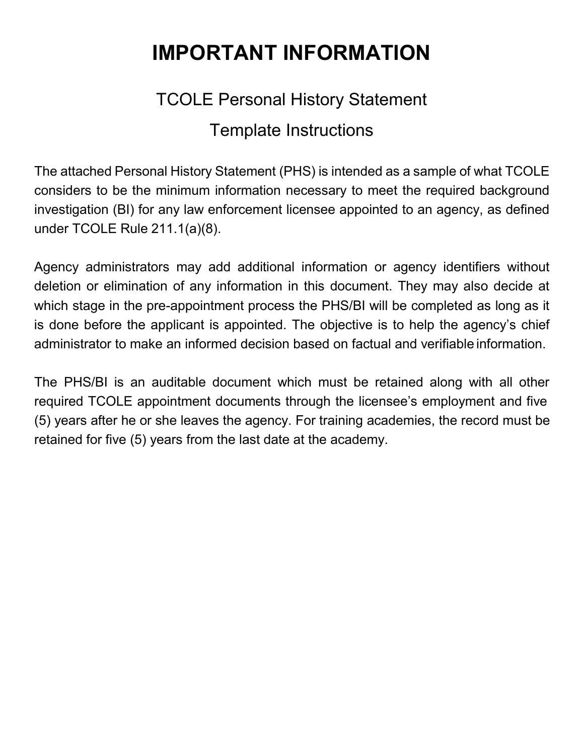# **IMPORTANT INFORMATION**

# TCOLE Personal History Statement Template Instructions

The attached Personal History Statement (PHS) is intended as a sample of what TCOLE considers to be the minimum information necessary to meet the required background investigation (BI) for any law enforcement licensee appointed to an agency, as defined under TCOLE Rule 211.1(a)(8).

Agency administrators may add additional information or agency identifiers without deletion or elimination of any information in this document. They may also decide at which stage in the pre-appointment process the PHS/BI will be completed as long as it is done before the applicant is appointed. The objective is to help the agency's chief administrator to make an informed decision based on factual and verifiable information.

The PHS/BI is an auditable document which must be retained along with all other required TCOLE appointment documents through the licensee's employment and five (5) years after he or she leaves the agency. For training academies, the record must be retained for five (5) years from the last date at the academy.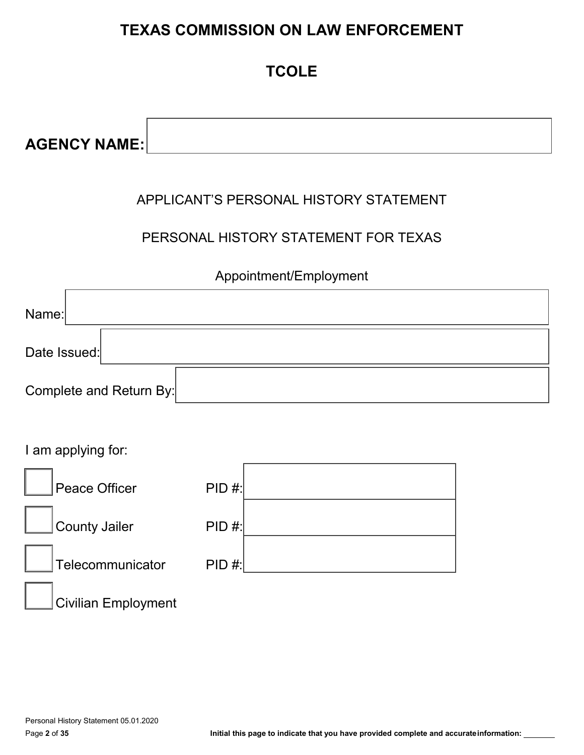# **TEXAS COMMISSION ON LAW ENFORCEMENT**

# **TCOLE**

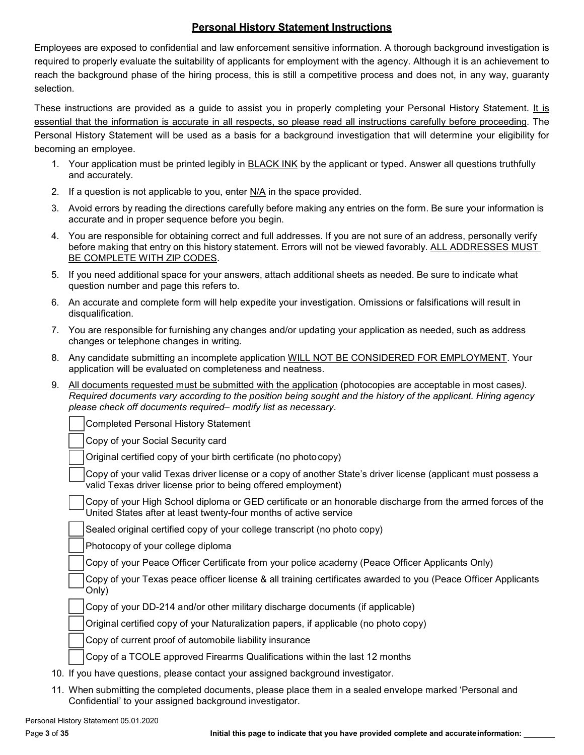# **Personal History Statement Instructions**

Employees are exposed to confidential and law enforcement sensitive information. A thorough background investigation is required to properly evaluate the suitability of applicants for employment with the agency. Although it is an achievement to reach the background phase of the hiring process, this is still a competitive process and does not, in any way, guaranty selection.

These instructions are provided as a guide to assist you in properly completing your Personal History Statement. It is essential that the information is accurate in all respects, so please read all instructions carefully before proceeding. The Personal History Statement will be used as a basis for a background investigation that will determine your eligibility for becoming an employee.

- 1. Your application must be printed legibly in BLACK INK by the applicant or typed. Answer all questions truthfully and accurately.
- 2. If a question is not applicable to you, enter  $N/A$  in the space provided.
- 3. Avoid errors by reading the directions carefully before making any entries on the form. Be sure your information is accurate and in proper sequence before you begin.
- 4. You are responsible for obtaining correct and full addresses. If you are not sure of an address, personally verify before making that entry on this history statement. Errors will not be viewed favorably. ALL ADDRESSES MUST BE COMPLETE WITH ZIP CODES.
- 5. If you need additional space for your answers, attach additional sheets as needed. Be sure to indicate what question number and page this refers to.
- 6. An accurate and complete form will help expedite your investigation. Omissions or falsifications will result in disqualification.
- 7. You are responsible for furnishing any changes and/or updating your application as needed, such as address changes or telephone changes in writing.
- 8. Any candidate submitting an incomplete application WILL NOT BE CONSIDERED FOR EMPLOYMENT. Your application will be evaluated on completeness and neatness.
- 9. All documents requested must be submitted with the application (photocopies are acceptable in most cases*).* Required documents vary according to the position being sought and the history of the applicant. Hiring agency *please check off documents required– modify list as necessary*.

Completed Personal History Statement

Copy of your Social Security card

Original certified copy of your birth certificate (no photocopy)

Copy of your valid Texas driver license or a copy of another State's driver license (applicant must possess a valid Texas driver license prior to being offered employment)

Copy of your High School diploma or GED certificate or an honorable discharge from the armed forces of the United States after at least twenty-four months of active service

Sealed original certified copy of your college transcript (no photo copy)

Photocopy of your college diploma

Copy of your Peace Officer Certificate from your police academy (Peace Officer Applicants Only)

Copy of your Texas peace officer license & all training certificates awarded to you (Peace Officer Applicants Only)

Copy of your DD-214 and/or other military discharge documents (if applicable)

Original certified copy of your Naturalization papers, if applicable (no photo copy)

Copy of current proof of automobile liability insurance

Copy of a TCOLE approved Firearms Qualifications within the last 12 months

- 10. If you have questions, please contact your assigned background investigator.
- 11. When submitting the completed documents, please place them in a sealed envelope marked 'Personal and Confidential' to your assigned background investigator.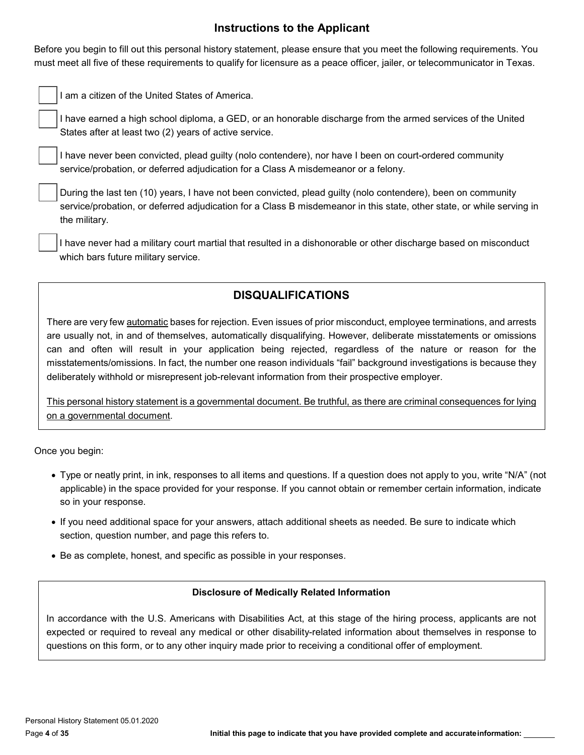# **Instructions to the Applicant**

Before you begin to fill out this personal history statement, please ensure that you meet the following requirements. You must meet all five of these requirements to qualify for licensure as a peace officer, jailer, or telecommunicator in Texas.

I am a citizen of the United States of America.

I have earned a high school diploma, a GED, or an honorable discharge from the armed services of the United States after at least two (2) years of active service.

I have never been convicted, plead guilty (nolo contendere), nor have I been on court-ordered community service/probation, or deferred adjudication for a Class A misdemeanor or a felony.

During the last ten (10) years, I have not been convicted, plead guilty (nolo contendere), been on community service/probation, or deferred adjudication for a Class B misdemeanor in this state, other state, or while serving in the military.

I have never had a military court martial that resulted in a dishonorable or other discharge based on misconduct which bars future military service.

# **DISQUALIFICATIONS**

There are very few automatic bases for rejection. Even issues of prior misconduct, employee terminations, and arrests are usually not, in and of themselves, automatically disqualifying. However, deliberate misstatements or omissions can and often will result in your application being rejected, regardless of the nature or reason for the misstatements/omissions. In fact, the number one reason individuals "fail" background investigations is because they deliberately withhold or misrepresent job-relevant information from their prospective employer.

This personal history statement is a governmental document. Be truthful, as there are criminal consequences for lying on a governmental document.

Once you begin:

- Type or neatly print, in ink, responses to all items and questions. If a question does not apply to you, write "N/A" (not applicable) in the space provided for your response. If you cannot obtain or remember certain information, indicate so in your response.
- If you need additional space for your answers, attach additional sheets as needed. Be sure to indicate which section, question number, and page this refers to.
- Be as complete, honest, and specific as possible in your responses.

#### **Disclosure of Medically Related Information**

In accordance with the U.S. Americans with Disabilities Act, at this stage of the hiring process, applicants are not expected or required to reveal any medical or other disability-related information about themselves in response to questions on this form, or to any other inquiry made prior to receiving a conditional offer of employment.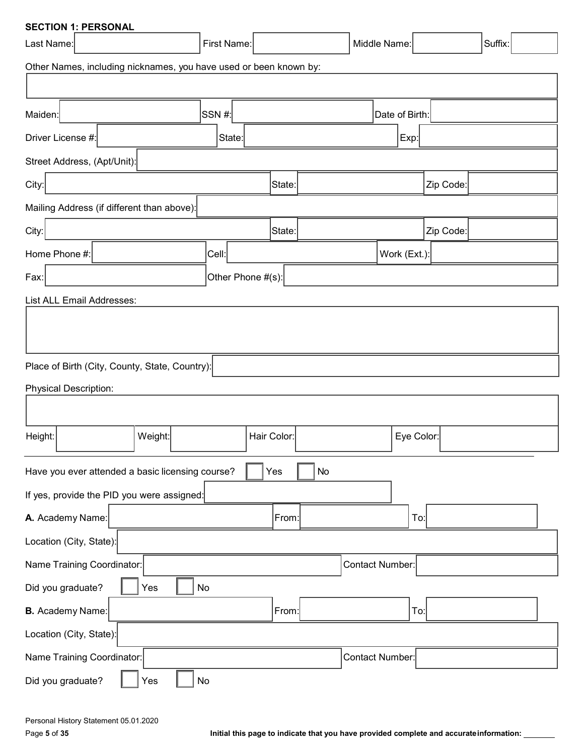| <b>SECTION 1: PERSONAL</b>                                        |             |             |    |                 |                |           |  |  |  |
|-------------------------------------------------------------------|-------------|-------------|----|-----------------|----------------|-----------|--|--|--|
| Last Name:                                                        | First Name: |             |    | Middle Name:    |                | Suffix:   |  |  |  |
| Other Names, including nicknames, you have used or been known by: |             |             |    |                 |                |           |  |  |  |
|                                                                   |             |             |    |                 |                |           |  |  |  |
| Maiden:                                                           | SSN#        |             |    |                 | Date of Birth: |           |  |  |  |
| Driver License #:                                                 | ∣State:     |             |    |                 | $\mathsf{Exp}$ |           |  |  |  |
| Street Address, (Apt/Unit):                                       |             |             |    |                 |                |           |  |  |  |
| City:                                                             |             | State:      |    |                 |                | Zip Code: |  |  |  |
| Mailing Address (if different than above):                        |             |             |    |                 |                |           |  |  |  |
| City:                                                             |             | State:      |    |                 |                | Zip Code: |  |  |  |
| Home Phone #:                                                     | Cell:       |             |    |                 | Work (Ext.):   |           |  |  |  |
| Other Phone #(s):<br>Fax:                                         |             |             |    |                 |                |           |  |  |  |
| List ALL Email Addresses:                                         |             |             |    |                 |                |           |  |  |  |
|                                                                   |             |             |    |                 |                |           |  |  |  |
|                                                                   |             |             |    |                 |                |           |  |  |  |
| Place of Birth (City, County, State, Country):                    |             |             |    |                 |                |           |  |  |  |
| <b>Physical Description:</b>                                      |             |             |    |                 |                |           |  |  |  |
|                                                                   |             |             |    |                 |                |           |  |  |  |
| Height:<br>Weight:                                                |             | Hair Color: |    |                 | Eye Color:     |           |  |  |  |
|                                                                   |             |             |    |                 |                |           |  |  |  |
| Have you ever attended a basic licensing course?                  |             | Yes         | No |                 |                |           |  |  |  |
| If yes, provide the PID you were assigned:                        |             |             |    |                 |                |           |  |  |  |
| A. Academy Name:                                                  |             | From:       |    |                 | To:            |           |  |  |  |
| Location (City, State):                                           |             |             |    |                 |                |           |  |  |  |
| Name Training Coordinator:                                        |             |             |    | Contact Number: |                |           |  |  |  |
| Did you graduate?<br>Yes                                          | No          |             |    |                 |                |           |  |  |  |
| <b>B.</b> Academy Name:                                           |             | From:       |    |                 | To:            |           |  |  |  |
| Location (City, State):                                           |             |             |    |                 |                |           |  |  |  |
| Name Training Coordinator:                                        |             |             |    | Contact Number: |                |           |  |  |  |
| Did you graduate?<br>Yes                                          | No          |             |    |                 |                |           |  |  |  |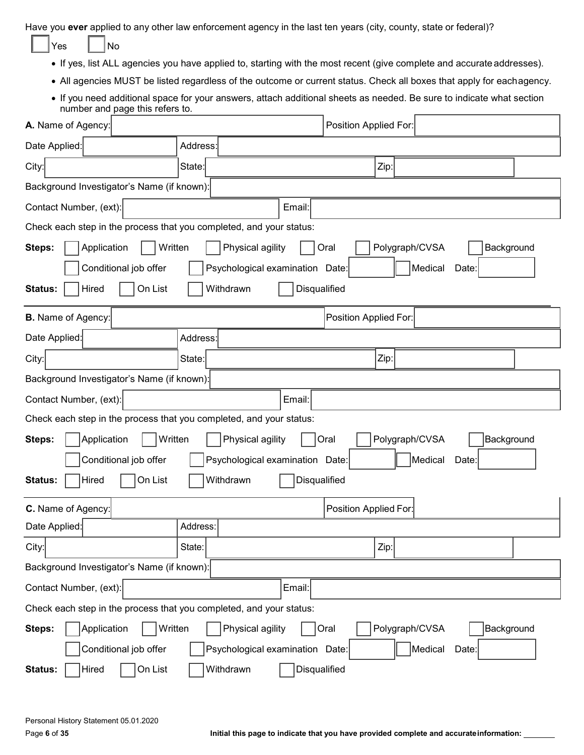Have you **ever** applied to any other law enforcement agency in the last ten years (city, county, state or federal)?

| AC |  | N٥ |
|----|--|----|
|----|--|----|

- If yes, list ALL agencies you have applied to, starting with the most recent (give complete and accurate addresses).
- All agencies MUST be listed regardless of the outcome or current status. Check all boxes that apply for eachagency.
- If you need additional space for your answers, attach additional sheets as needed. Be sure to indicate what section number and page this refers to.

| A. Name of Agency:                                                           |                                                                     | Position Applied For:                |  |  |  |  |  |  |  |
|------------------------------------------------------------------------------|---------------------------------------------------------------------|--------------------------------------|--|--|--|--|--|--|--|
| Date Applied:                                                                | Address:                                                            |                                      |  |  |  |  |  |  |  |
| City:                                                                        | State:                                                              | Zip:                                 |  |  |  |  |  |  |  |
| Background Investigator's Name (if known):                                   |                                                                     |                                      |  |  |  |  |  |  |  |
| Contact Number, (ext):                                                       | Email:                                                              |                                      |  |  |  |  |  |  |  |
| Check each step in the process that you completed, and your status:          |                                                                     |                                      |  |  |  |  |  |  |  |
| Application<br>Steps:                                                        | Written<br>Physical agility<br>Polygraph/CVSA<br>Background<br>Oral |                                      |  |  |  |  |  |  |  |
| Conditional job offer<br>Psychological examination Date:<br>Medical<br>Date: |                                                                     |                                      |  |  |  |  |  |  |  |
| On List<br>Withdrawn<br>Disqualified<br>Status:<br>Hired                     |                                                                     |                                      |  |  |  |  |  |  |  |
| <b>B.</b> Name of Agency:                                                    |                                                                     | Position Applied For:                |  |  |  |  |  |  |  |
| Date Applied:                                                                | Address:                                                            |                                      |  |  |  |  |  |  |  |
| City:                                                                        | State:                                                              | Zip:                                 |  |  |  |  |  |  |  |
| Background Investigator's Name (if known):                                   |                                                                     |                                      |  |  |  |  |  |  |  |
| Contact Number, (ext):<br>Email:                                             |                                                                     |                                      |  |  |  |  |  |  |  |
| Check each step in the process that you completed, and your status:          |                                                                     |                                      |  |  |  |  |  |  |  |
| Application<br>Written<br>Steps:                                             | Physical agility                                                    | Polygraph/CVSA<br>Background<br>Oral |  |  |  |  |  |  |  |
| Conditional job offer                                                        | Psychological examination Date:                                     | Medical<br>Date:                     |  |  |  |  |  |  |  |
| On List<br>Hired<br>Status:                                                  | Withdrawn<br>Disqualified                                           |                                      |  |  |  |  |  |  |  |
| C. Name of Agency:                                                           |                                                                     | Position Applied For:                |  |  |  |  |  |  |  |
| Date Applied:                                                                | Address:                                                            |                                      |  |  |  |  |  |  |  |
| City:                                                                        | State:                                                              | Zip:                                 |  |  |  |  |  |  |  |
| Background Investigator's Name (if known):                                   |                                                                     |                                      |  |  |  |  |  |  |  |
| Contact Number, (ext):                                                       | Email:                                                              |                                      |  |  |  |  |  |  |  |
| Check each step in the process that you completed, and your status:          |                                                                     |                                      |  |  |  |  |  |  |  |
| Written<br>Application<br>Steps:                                             | Physical agility                                                    | Oral<br>Polygraph/CVSA<br>Background |  |  |  |  |  |  |  |
| Conditional job offer                                                        | Psychological examination Date:                                     | Medical<br>Date:                     |  |  |  |  |  |  |  |
| On List<br>Hired<br>Status:                                                  | Withdrawn<br>Disqualified                                           |                                      |  |  |  |  |  |  |  |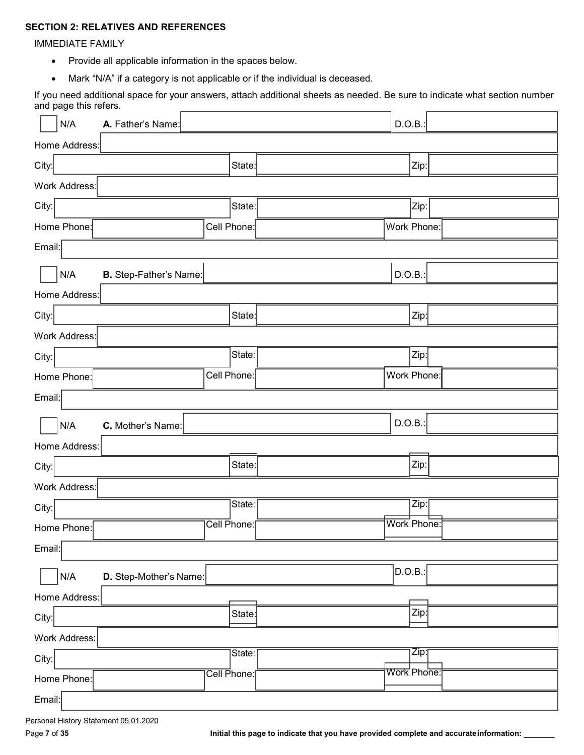# **SECTION 2: RELATIVES AND REFERENCES**

IMMEDIATE FAMILY

- Provide all applicable information in the spaces below.
- Mark "N/A" if a category is not applicable or if the individual is deceased.

If you need additional space for your answers, attach additional sheets as needed. Be sure to indicate what section number and page this refers.

| N/A                  | A. Father's Name:      | D.O.B.            |  |
|----------------------|------------------------|-------------------|--|
| Home Address:        |                        |                   |  |
| City:                | State:                 | Zip:              |  |
| Work Address:        |                        |                   |  |
| City:                | State:                 | Zip:              |  |
| Home Phone:          | Cell Phone:            | Work Phone:       |  |
| Email:               |                        |                   |  |
| N/A                  | B. Step-Father's Name: | D.O.B.:           |  |
| Home Address:        |                        |                   |  |
| City:                | State:                 | Zip:              |  |
| <b>Work Address:</b> |                        |                   |  |
| City:                | State:                 | Zip:              |  |
| Home Phone:          | Cell Phone:            | Work Phone:       |  |
| Email:               |                        |                   |  |
| N/A                  | C. Mother's Name:      | D.O.B.:           |  |
| Home Address:        |                        |                   |  |
|                      |                        |                   |  |
| City:                | State:                 | Zip:              |  |
| Work Address:        |                        |                   |  |
| City:                | State:                 | Zip:              |  |
| Home Phone:          | Cell Phone:            | Work Phone:       |  |
| Email:               |                        |                   |  |
| N/A                  | D. Step-Mother's Name: | D.O.B.:           |  |
| Home Address:        |                        |                   |  |
| City:                | State:                 | Zip:              |  |
| Work Address:        |                        |                   |  |
| City:                | State:                 | $\overline{Zip:}$ |  |
| Home Phone:          | Cell Phone:            | Work Phone:       |  |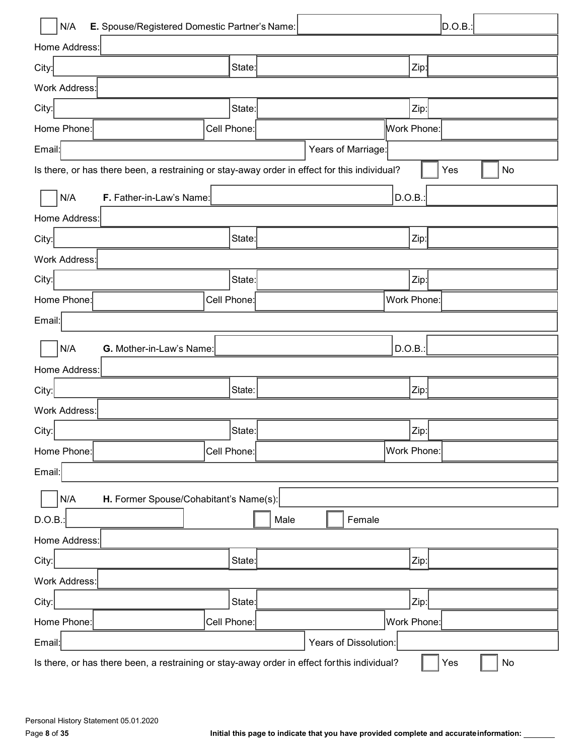| N/A<br>E. Spouse/Registered Domestic Partner's Name:                                         |             |             |                       |        |             | D.O.B.: |    |    |
|----------------------------------------------------------------------------------------------|-------------|-------------|-----------------------|--------|-------------|---------|----|----|
| Home Address:                                                                                |             |             |                       |        |             |         |    |    |
| City:                                                                                        | State:      |             |                       |        | Zip:        |         |    |    |
| <b>Work Address:</b>                                                                         |             |             |                       |        |             |         |    |    |
| City:                                                                                        | State:      |             |                       |        | Zip:        |         |    |    |
| Home Phone:                                                                                  | Cell Phone: |             |                       |        | Work Phone: |         |    |    |
| Email:                                                                                       |             |             | Years of Marriage:    |        |             |         |    |    |
| Is there, or has there been, a restraining or stay-away order in effect for this individual? |             |             |                       |        | Yes         |         | No |    |
| N/A<br>F. Father-in-Law's Name:                                                              |             |             |                       |        |             |         |    |    |
| Home Address:                                                                                |             |             |                       |        |             |         |    |    |
| City:                                                                                        | State:      |             |                       |        | Zip:        |         |    |    |
| <b>Work Address:</b>                                                                         |             |             |                       |        |             |         |    |    |
| City:                                                                                        | State:      |             |                       |        | Zip:        |         |    |    |
| Home Phone:                                                                                  | Cell Phone: |             |                       |        | Work Phone: |         |    |    |
| Email:                                                                                       |             |             |                       |        |             |         |    |    |
| N/A<br>G. Mother-in-Law's Name:                                                              |             |             |                       | D.O.B. |             |         |    |    |
| Home Address:                                                                                |             |             |                       |        |             |         |    |    |
| City:                                                                                        | State:      |             |                       |        |             |         |    |    |
| <b>Work Address:</b>                                                                         |             |             |                       |        |             |         |    |    |
| City:                                                                                        | State:      |             |                       |        | $Zip$ :     |         |    |    |
| Home Phone:                                                                                  | Cell Phone: |             |                       |        | Work Phone: |         |    |    |
| Email:                                                                                       |             |             |                       |        |             |         |    |    |
| N/A<br>H. Former Spouse/Cohabitant's Name(s):                                                |             |             |                       |        |             |         |    |    |
| D.O.B.:                                                                                      |             | Male        | Female                |        |             |         |    |    |
| Home Address:                                                                                |             |             |                       |        |             |         |    |    |
| City:                                                                                        | State:      |             |                       |        | Zip:        |         |    |    |
| Work Address:                                                                                |             |             |                       |        |             |         |    |    |
| City:                                                                                        | State:      |             |                       |        | Zip:        |         |    |    |
| Home Phone:                                                                                  | Cell Phone: | Work Phone: |                       |        |             |         |    |    |
| Email:                                                                                       |             |             | Years of Dissolution: |        |             |         |    |    |
| Is there, or has there been, a restraining or stay-away order in effect for this individual? |             |             |                       |        |             | Yes     |    | No |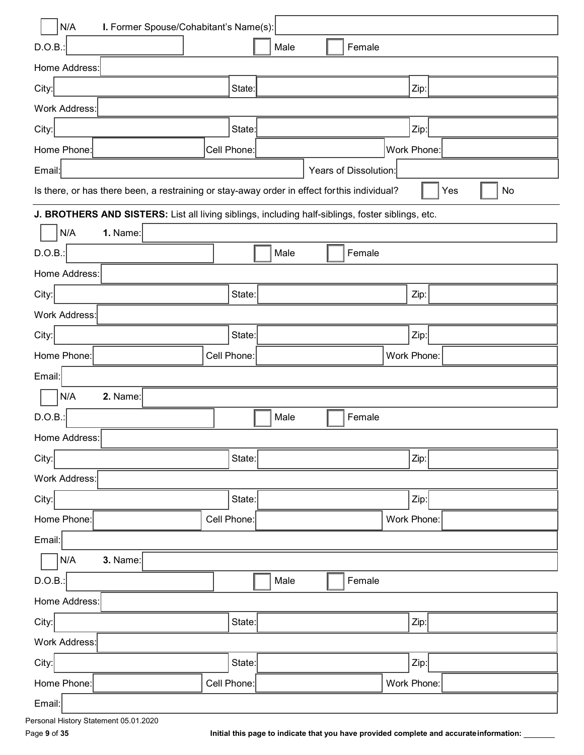| N/A<br>I. Former Spouse/Cohabitant's Name(s):                                                     |             |      |  |                       |        |             |  |           |
|---------------------------------------------------------------------------------------------------|-------------|------|--|-----------------------|--------|-------------|--|-----------|
| D.O.B.                                                                                            |             | Male |  |                       | Female |             |  |           |
| Home Address:                                                                                     |             |      |  |                       |        |             |  |           |
| City:                                                                                             | State:      |      |  |                       |        | Zip:        |  |           |
| <b>Work Address:</b>                                                                              |             |      |  |                       |        |             |  |           |
| City:                                                                                             | State:      |      |  |                       |        | Zip:        |  |           |
| Home Phone:                                                                                       | Cell Phone: |      |  |                       |        | Work Phone: |  |           |
| Email:                                                                                            |             |      |  | Years of Dissolution: |        |             |  |           |
| Is there, or has there been, a restraining or stay-away order in effect for this individual?      |             |      |  |                       |        |             |  | No<br>Yes |
| J. BROTHERS AND SISTERS: List all living siblings, including half-siblings, foster siblings, etc. |             |      |  |                       |        |             |  |           |
| N/A<br>1. Name:                                                                                   |             |      |  |                       |        |             |  |           |
| D.O.B.:                                                                                           |             | Male |  |                       | Female |             |  |           |
| Home Address:                                                                                     |             |      |  |                       |        |             |  |           |
| City:                                                                                             | State:      |      |  |                       |        | Zip:        |  |           |
| Work Address:                                                                                     |             |      |  |                       |        |             |  |           |
| City:                                                                                             | State:      |      |  |                       |        | Zip:        |  |           |
| Home Phone:                                                                                       | Cell Phone: |      |  |                       |        | Work Phone: |  |           |
| Email:                                                                                            |             |      |  |                       |        |             |  |           |
| N/A<br>2. Name:                                                                                   |             |      |  |                       |        |             |  |           |
| D.O.B.:                                                                                           |             | Male |  |                       | Female |             |  |           |
| Home Address:                                                                                     |             |      |  |                       |        |             |  |           |
| City:                                                                                             | State:      |      |  |                       |        | Zip:        |  |           |
| Work Address:                                                                                     |             |      |  |                       |        |             |  |           |
| City:                                                                                             | State:      |      |  |                       |        | Zip:        |  |           |
| Home Phone:                                                                                       | Cell Phone: |      |  |                       |        | Work Phone: |  |           |
| Email:                                                                                            |             |      |  |                       |        |             |  |           |
| 3. Name:<br>N/A                                                                                   |             |      |  |                       |        |             |  |           |
| D.O.B.:                                                                                           |             | Male |  |                       | Female |             |  |           |
| Home Address:                                                                                     |             |      |  |                       |        |             |  |           |
| City:                                                                                             | State:      |      |  |                       |        | Zip:        |  |           |
| Work Address:                                                                                     |             |      |  |                       |        |             |  |           |
| City:                                                                                             | State:      |      |  |                       |        | Zip:        |  |           |
| Home Phone:                                                                                       | Cell Phone: |      |  |                       |        | Work Phone: |  |           |
| Email:                                                                                            |             |      |  |                       |        |             |  |           |

Page 9 of 35 **Initial this page to indicate that you have provided complete and accurate information:** 

Personal History Statement 05.01.2020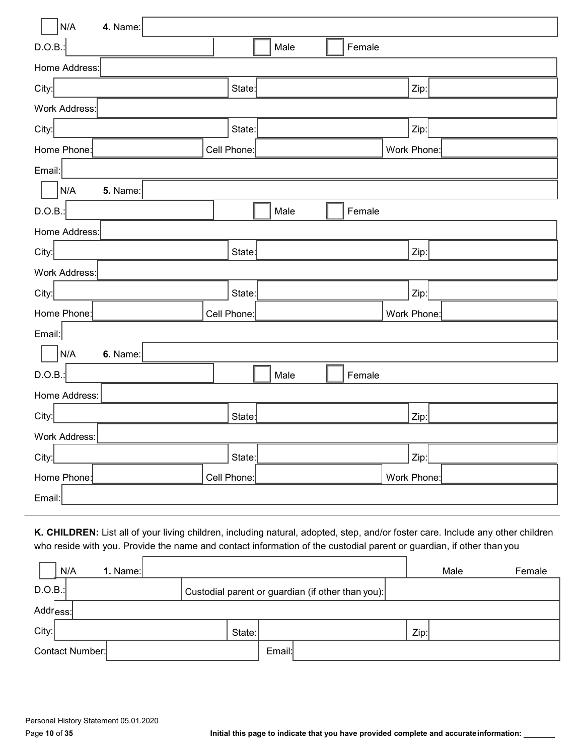| N/A<br>4. Name:                     |             |             |        |             |  |  |  |
|-------------------------------------|-------------|-------------|--------|-------------|--|--|--|
| D.O.B.:                             |             | Male        | Female |             |  |  |  |
| Home Address:                       |             |             |        |             |  |  |  |
| City:                               | State:      |             |        | Zip:        |  |  |  |
| Work Address:                       |             |             |        |             |  |  |  |
| City:                               | State:      |             |        | Zip:        |  |  |  |
| Home Phone:                         | Cell Phone: | Work Phone: |        |             |  |  |  |
| Email:                              |             |             |        |             |  |  |  |
| $\mathsf{N}/\mathsf{A}$<br>5. Name: |             |             |        |             |  |  |  |
| D.O.B.                              |             | Male        | Female |             |  |  |  |
| Home Address:                       |             |             |        |             |  |  |  |
| City:                               | State:      |             |        | Zip:        |  |  |  |
| Work Address:                       |             |             |        |             |  |  |  |
| City:                               | State:      |             |        | Zip:        |  |  |  |
| Home Phone:                         | Cell Phone: |             |        | Work Phone: |  |  |  |
| Email:                              |             |             |        |             |  |  |  |
| N/A<br>6. Name:                     |             |             |        |             |  |  |  |
| D.O.B.                              |             | Male        | Female |             |  |  |  |
| Home Address:                       |             |             |        |             |  |  |  |
| City:                               | State:      |             |        | Zip:        |  |  |  |
| <b>Work Address:</b>                |             |             |        |             |  |  |  |
| City:                               | State:      |             |        | Zip:        |  |  |  |
| Home Phone:                         | Cell Phone: |             |        | Work Phone: |  |  |  |
| Email:                              |             |             |        |             |  |  |  |

**K. CHILDREN:** List all of your living children, including natural, adopted, step, and/or foster care. Include any other children who reside with you. Provide the name and contact information of the custodial parent or guardian, if other than you

|       | N/A                                                         | 1. Name: $\vert$ |  |  |        |        |  |  |      | Male | Female |
|-------|-------------------------------------------------------------|------------------|--|--|--------|--------|--|--|------|------|--------|
|       | D.O.B.<br>Custodial parent or guardian (if other than you): |                  |  |  |        |        |  |  |      |      |        |
|       | Addr <sub>ess:</sub>                                        |                  |  |  |        |        |  |  |      |      |        |
| City: |                                                             |                  |  |  | State: |        |  |  | Zip: |      |        |
|       | Contact Number:                                             |                  |  |  |        | Email: |  |  |      |      |        |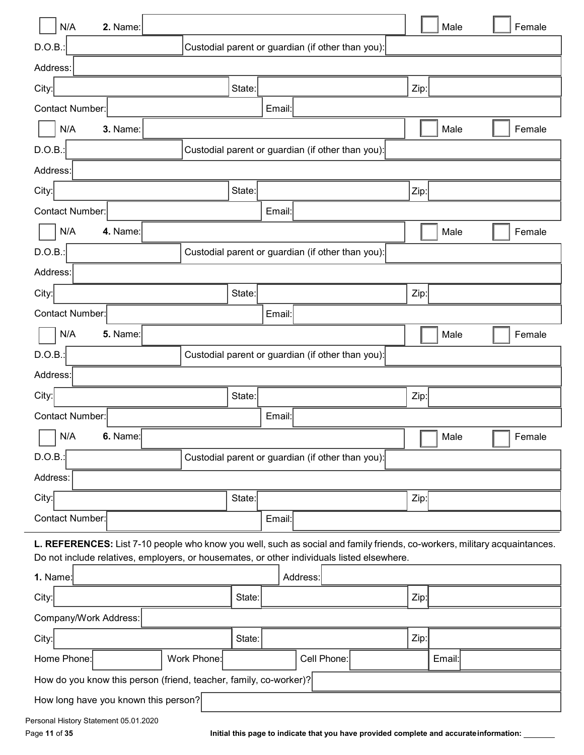| N/A<br>2. Name:                                                                                                           |             |        |        |                                                   |      | Male   | Female |
|---------------------------------------------------------------------------------------------------------------------------|-------------|--------|--------|---------------------------------------------------|------|--------|--------|
| D.O.B.:                                                                                                                   |             |        |        | Custodial parent or guardian (if other than you): |      |        |        |
| Address:                                                                                                                  |             |        |        |                                                   |      |        |        |
| City:                                                                                                                     |             | State: |        |                                                   | Zip: |        |        |
| <b>Contact Number:</b>                                                                                                    |             |        | Email: |                                                   |      |        |        |
| N/A<br>3. Name:                                                                                                           |             |        |        |                                                   |      | Male   | Female |
| D.O.B.:                                                                                                                   |             |        |        | Custodial parent or guardian (if other than you): |      |        |        |
| Address:                                                                                                                  |             |        |        |                                                   |      |        |        |
| City:                                                                                                                     |             | State: |        |                                                   | Zip: |        |        |
| <b>Contact Number:</b>                                                                                                    |             |        | Email: |                                                   |      |        |        |
| N/A<br>4. Name:                                                                                                           |             |        |        |                                                   |      | Male   | Female |
| D.O.B.:                                                                                                                   |             |        |        | Custodial parent or guardian (if other than you): |      |        |        |
| Address:                                                                                                                  |             |        |        |                                                   |      |        |        |
| City:                                                                                                                     |             | State: |        |                                                   | Zip: |        |        |
| <b>Contact Number:</b>                                                                                                    |             |        | Email: |                                                   |      |        |        |
| N/A<br><b>5.</b> Name:                                                                                                    |             |        |        |                                                   |      | Male   | Female |
| D.O.B.:                                                                                                                   |             |        |        | Custodial parent or guardian (if other than you): |      |        |        |
| Address:                                                                                                                  |             |        |        |                                                   |      |        |        |
| City:                                                                                                                     |             | State: |        |                                                   | Zip: |        |        |
| Contact Number:                                                                                                           |             |        | Email: |                                                   |      |        |        |
| N/A<br>6. Name:                                                                                                           |             |        |        |                                                   |      | Male   | Female |
| D.O.B.                                                                                                                    |             |        |        | Custodial parent or guardian (if other than you): |      |        |        |
| Address:                                                                                                                  |             |        |        |                                                   |      |        |        |
| City:                                                                                                                     |             | State: |        |                                                   | Zip: |        |        |
| Contact Number:                                                                                                           |             |        | Email: |                                                   |      |        |        |
| L. REFERENCES: List 7-10 people who know you well, such as social and family friends, co-workers, military acquaintances. |             |        |        |                                                   |      |        |        |
| Do not include relatives, employers, or housemates, or other individuals listed elsewhere.                                |             |        |        |                                                   |      |        |        |
| 1. Name:                                                                                                                  |             |        |        | Address:                                          |      |        |        |
| City:                                                                                                                     |             | State: |        |                                                   | Zip: |        |        |
| Company/Work Address:                                                                                                     |             |        |        |                                                   |      |        |        |
| City:                                                                                                                     |             | State: |        |                                                   | Zip: |        |        |
| Home Phone:                                                                                                               | Work Phone: |        |        | Cell Phone:                                       |      | Email: |        |
| How do you know this person (friend, teacher, family, co-worker)?                                                         |             |        |        |                                                   |      |        |        |
| How long have you known this person?                                                                                      |             |        |        |                                                   |      |        |        |
| Personal History Statement 05.01.2020                                                                                     |             |        |        |                                                   |      |        |        |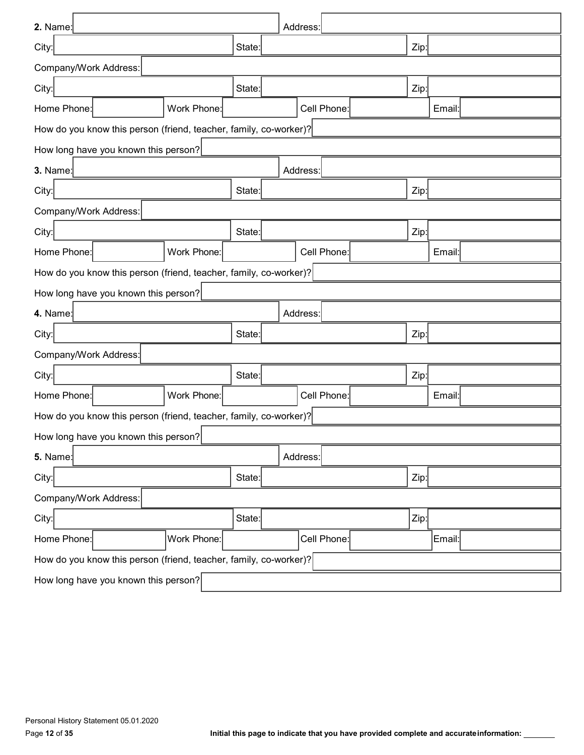| 2. Name:                                                          |        | Address:    |  |        |  |  |  |  |
|-------------------------------------------------------------------|--------|-------------|--|--------|--|--|--|--|
| City:                                                             | State: |             |  | Zip:   |  |  |  |  |
| Company/Work Address:                                             |        |             |  |        |  |  |  |  |
| City:                                                             | State: |             |  | Zip:   |  |  |  |  |
| Work Phone:<br>Home Phone:                                        |        | Cell Phone: |  | Email: |  |  |  |  |
| How do you know this person (friend, teacher, family, co-worker)? |        |             |  |        |  |  |  |  |
| How long have you known this person?                              |        |             |  |        |  |  |  |  |
| 3. Name:                                                          |        | Address:    |  |        |  |  |  |  |
| City:                                                             | State: |             |  | Zip:   |  |  |  |  |
| Company/Work Address:                                             |        |             |  |        |  |  |  |  |
| City:                                                             | State: |             |  | Zip:   |  |  |  |  |
| Work Phone:<br>Home Phone:                                        |        | Cell Phone: |  | Email: |  |  |  |  |
| How do you know this person (friend, teacher, family, co-worker)? |        |             |  |        |  |  |  |  |
| How long have you known this person?                              |        |             |  |        |  |  |  |  |
| 4. Name:                                                          |        | Address:    |  |        |  |  |  |  |
| City:                                                             | State: |             |  | Zip:   |  |  |  |  |
| Company/Work Address:                                             |        |             |  |        |  |  |  |  |
| City:                                                             | State: |             |  | Zip:   |  |  |  |  |
| Work Phone:<br>Home Phone:                                        |        | Cell Phone: |  | Email: |  |  |  |  |
| How do you know this person (friend, teacher, family, co-worker)? |        |             |  |        |  |  |  |  |
| How long have you known this person?                              |        |             |  |        |  |  |  |  |
| $5.$ Name:                                                        |        | Address:    |  |        |  |  |  |  |
| City:                                                             | State: |             |  | Zip:   |  |  |  |  |
| Company/Work Address:                                             |        |             |  |        |  |  |  |  |
| City:                                                             | State: |             |  | Zip:   |  |  |  |  |
| Home Phone:<br>Work Phone:                                        |        | Cell Phone: |  | Email: |  |  |  |  |
| How do you know this person (friend, teacher, family, co-worker)? |        |             |  |        |  |  |  |  |
| How long have you known this person?                              |        |             |  |        |  |  |  |  |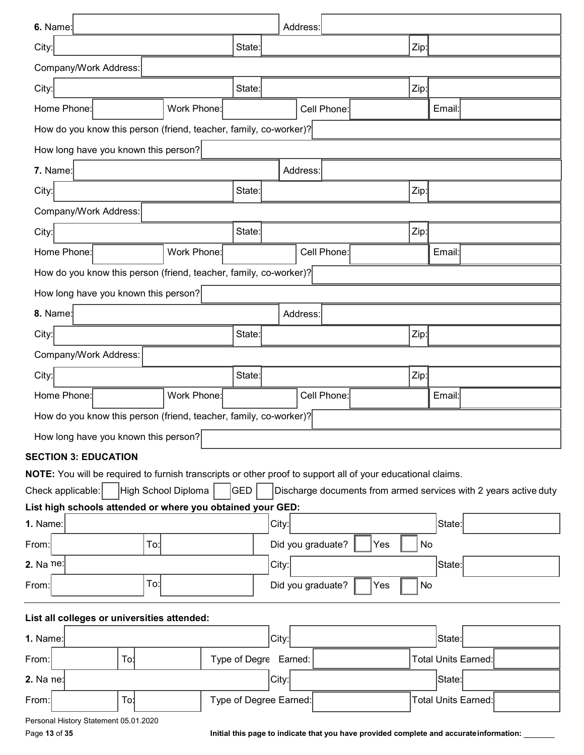| 6. Name:                                                                                                    |                     |                        |       | Address:          |             |     |           |                                                                  |
|-------------------------------------------------------------------------------------------------------------|---------------------|------------------------|-------|-------------------|-------------|-----|-----------|------------------------------------------------------------------|
| City:                                                                                                       |                     | State:                 |       |                   |             |     | Zip:      |                                                                  |
| Company/Work Address:                                                                                       |                     |                        |       |                   |             |     |           |                                                                  |
| City:                                                                                                       |                     | State:                 |       |                   |             |     | Zip:      |                                                                  |
| Home Phone:                                                                                                 | Work Phone:         |                        |       |                   | Cell Phone: |     |           | Email:                                                           |
| How do you know this person (friend, teacher, family, co-worker)?                                           |                     |                        |       |                   |             |     |           |                                                                  |
| How long have you known this person?                                                                        |                     |                        |       |                   |             |     |           |                                                                  |
| 7. Name:                                                                                                    |                     |                        |       | Address:          |             |     |           |                                                                  |
| City:                                                                                                       |                     | State:                 |       |                   |             |     | Zip:      |                                                                  |
| Company/Work Address:                                                                                       |                     |                        |       |                   |             |     |           |                                                                  |
| City:                                                                                                       |                     | State:                 |       |                   |             |     | Zip:      |                                                                  |
| Home Phone:                                                                                                 | Work Phone:         |                        |       |                   | Cell Phone: |     |           | Email:                                                           |
| How do you know this person (friend, teacher, family, co-worker)?                                           |                     |                        |       |                   |             |     |           |                                                                  |
| How long have you known this person?                                                                        |                     |                        |       |                   |             |     |           |                                                                  |
| 8. Name:                                                                                                    |                     |                        |       | Address:          |             |     |           |                                                                  |
| City:                                                                                                       |                     | State:                 |       |                   |             |     | Zip:      |                                                                  |
| Company/Work Address:                                                                                       |                     |                        |       |                   |             |     |           |                                                                  |
| City:                                                                                                       |                     | State:                 |       |                   |             |     | Zip:      |                                                                  |
| Home Phone:                                                                                                 | Work Phone:         |                        |       |                   | Cell Phone: |     |           | Email:                                                           |
| How do you know this person (friend, teacher, family, co-worker)?                                           |                     |                        |       |                   |             |     |           |                                                                  |
| How long have you known this person?                                                                        |                     |                        |       |                   |             |     |           |                                                                  |
| <b>SECTION 3: EDUCATION</b>                                                                                 |                     |                        |       |                   |             |     |           |                                                                  |
| NOTE: You will be required to furnish transcripts or other proof to support all of your educational claims. |                     |                        |       |                   |             |     |           |                                                                  |
| Check applicable:<br>List high schools attended or where you obtained your GED:                             | High School Diploma | GED                    |       |                   |             |     |           | Discharge documents from armed services with 2 years active duty |
| 1. Name:                                                                                                    |                     |                        | City: |                   |             |     |           | State:                                                           |
| To:<br>From:                                                                                                |                     |                        |       | Did you graduate? |             | Yes | No        |                                                                  |
| 2. Na ne:                                                                                                   |                     |                        | City: |                   |             |     |           | State:                                                           |
| To:<br>From:                                                                                                |                     |                        |       | Did you graduate? |             | Yes | <b>No</b> |                                                                  |
| List all colleges or universities attended:                                                                 |                     |                        |       |                   |             |     |           |                                                                  |
| 1. Name:                                                                                                    |                     |                        | City: |                   |             |     |           | State:                                                           |
| From:<br>To!                                                                                                |                     | Type of Degre Earned:  |       |                   |             |     |           | <b>Total Units Earned:</b>                                       |
| 2. Na ne:                                                                                                   |                     |                        | City: |                   |             |     |           | State:                                                           |
| To:<br>From:                                                                                                |                     | Type of Degree Earned: |       |                   |             |     |           | <b>Total Units Earned:</b>                                       |
| Personal History Statement 05.01.2020                                                                       |                     |                        |       |                   |             |     |           |                                                                  |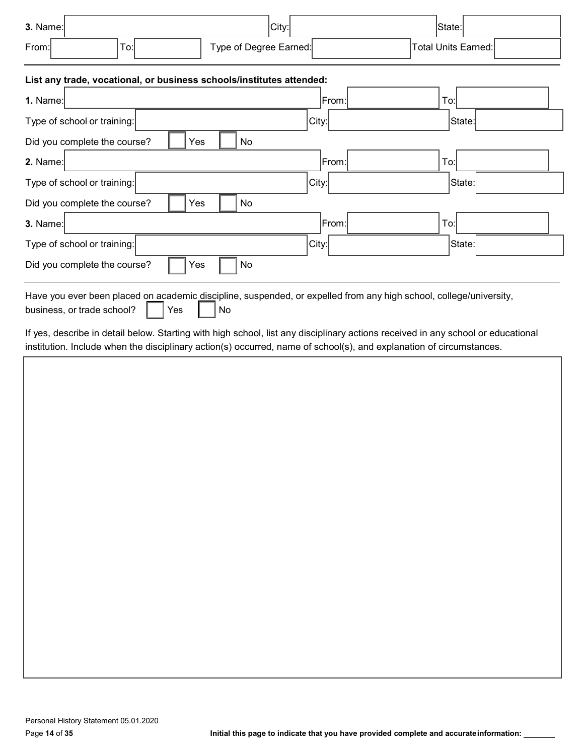| $3.$ Name:            | City:                  | State:              |
|-----------------------|------------------------|---------------------|
| From:<br>$-$<br>l o:l | Type of Degree Earned: | Total Units Earned: |

# **List any trade, vocational, or business schools/institutes attended:**

| List any trade, vocational, or business schools/institutes attended.                                                                                          |       |        |
|---------------------------------------------------------------------------------------------------------------------------------------------------------------|-------|--------|
| 1. Name:                                                                                                                                                      | From: | To:    |
| Type of school or training:                                                                                                                                   | City: | State: |
| No<br>Did you complete the course?<br>Yes                                                                                                                     |       |        |
| 2. Name:                                                                                                                                                      | From: | To:    |
| Type of school or training:                                                                                                                                   | City: | State: |
| No<br>Did you complete the course?<br>Yes                                                                                                                     |       |        |
| 3. Name:                                                                                                                                                      | From: | To:    |
| Type of school or training:                                                                                                                                   | City: | State: |
| No<br>Did you complete the course?<br>Yes                                                                                                                     |       |        |
| Have you ever been placed on academic discipline, suspended, or expelled from any high school, college/university,<br>business, or trade school?<br>Yes<br>No |       |        |

If yes, describe in detail below. Starting with high school, list any disciplinary actions received in any school or educational institution. Include when the disciplinary action(s) occurred, name of school(s), and explanation of circumstances.

| $r$ is a conductive model when the discrement $r$ determined become conducted by the explanation of chicamoterized. |  |  |
|---------------------------------------------------------------------------------------------------------------------|--|--|
|                                                                                                                     |  |  |
|                                                                                                                     |  |  |
|                                                                                                                     |  |  |
|                                                                                                                     |  |  |
|                                                                                                                     |  |  |
|                                                                                                                     |  |  |
|                                                                                                                     |  |  |
|                                                                                                                     |  |  |
|                                                                                                                     |  |  |
|                                                                                                                     |  |  |
|                                                                                                                     |  |  |
|                                                                                                                     |  |  |
|                                                                                                                     |  |  |
|                                                                                                                     |  |  |
|                                                                                                                     |  |  |
|                                                                                                                     |  |  |
|                                                                                                                     |  |  |
|                                                                                                                     |  |  |
|                                                                                                                     |  |  |
|                                                                                                                     |  |  |
|                                                                                                                     |  |  |
|                                                                                                                     |  |  |
|                                                                                                                     |  |  |
|                                                                                                                     |  |  |
|                                                                                                                     |  |  |
|                                                                                                                     |  |  |
|                                                                                                                     |  |  |
|                                                                                                                     |  |  |
|                                                                                                                     |  |  |
|                                                                                                                     |  |  |
|                                                                                                                     |  |  |
|                                                                                                                     |  |  |
|                                                                                                                     |  |  |
|                                                                                                                     |  |  |
|                                                                                                                     |  |  |
|                                                                                                                     |  |  |
|                                                                                                                     |  |  |
|                                                                                                                     |  |  |
|                                                                                                                     |  |  |
|                                                                                                                     |  |  |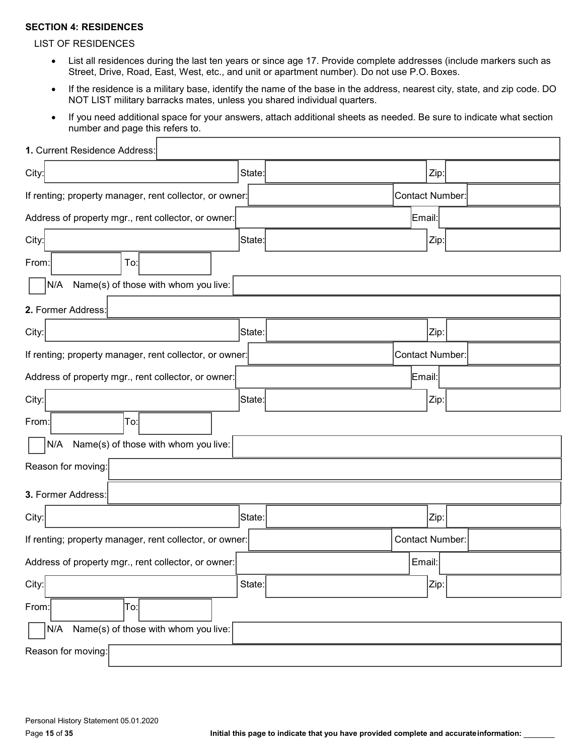#### **SECTION 4: RESIDENCES**

#### LIST OF RESIDENCES

- List all residences during the last ten years or since age 17. Provide complete addresses (include markers such as Street, Drive, Road, East, West, etc., and unit or apartment number). Do not use P.O. Boxes.
- If the residence is a military base, identify the name of the base in the address, nearest city, state, and zip code. DO NOT LIST military barracks mates, unless you shared individual quarters.
- If you need additional space for your answers, attach additional sheets as needed. Be sure to indicate what section number and page this refers to.

| 1. Current Residence Address:                           |          |                        |      |  |
|---------------------------------------------------------|----------|------------------------|------|--|
| City:                                                   | State:   |                        | Zip: |  |
| If renting; property manager, rent collector, or owner: |          | <b>Contact Number:</b> |      |  |
| Address of property mgr., rent collector, or owner:     |          | Email:                 |      |  |
| City:                                                   | ∣State:∣ |                        | Zip: |  |
| From:<br>To:                                            |          |                        |      |  |
| Name(s) of those with whom you live:<br>N/A             |          |                        |      |  |
| 2. Former Address:                                      |          |                        |      |  |
| City:                                                   | State:   |                        | Zip: |  |
| If renting; property manager, rent collector, or owner: |          | Contact Number:        |      |  |
| Address of property mgr., rent collector, or owner:     |          | Email:                 |      |  |
| City:                                                   | State:   |                        | Zip: |  |
| From:<br>To:                                            |          |                        |      |  |
| N/A<br>Name(s) of those with whom you live:             |          |                        |      |  |
| Reason for moving:                                      |          |                        |      |  |
| 3. Former Address:                                      |          |                        |      |  |
| City:                                                   | State:   |                        | Zip: |  |
| If renting; property manager, rent collector, or owner: |          | Contact Number:        |      |  |
| Address of property mgr., rent collector, or owner:     |          | Email:                 |      |  |
| City:                                                   | State:   |                        | Zip: |  |
| From:<br>To:                                            |          |                        |      |  |
| Name(s) of those with whom you live:<br>N/A             |          |                        |      |  |
| Reason for moving:                                      |          |                        |      |  |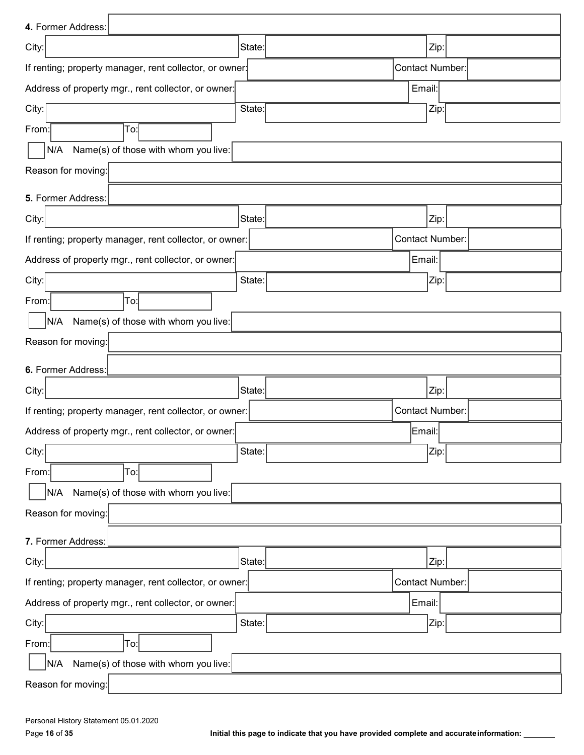| 4. Former Address:                                      |        |                        |  |
|---------------------------------------------------------|--------|------------------------|--|
| City:                                                   | State: | Zip:                   |  |
| If renting; property manager, rent collector, or owner: |        | <b>Contact Number:</b> |  |
| Address of property mgr., rent collector, or owner:     |        | Email:                 |  |
| City:                                                   | State: | Zip:                   |  |
| To:<br>From:                                            |        |                        |  |
| Name(s) of those with whom you live:<br>N/A             |        |                        |  |
| Reason for moving:                                      |        |                        |  |
| 5. Former Address:                                      |        |                        |  |
| City:                                                   | State: | Zip:                   |  |
| If renting; property manager, rent collector, or owner: |        | <b>Contact Number:</b> |  |
| Address of property mgr., rent collector, or owner:     |        | Email:                 |  |
| City:                                                   | State: | Zip:                   |  |
| To:<br>From:                                            |        |                        |  |
| Name(s) of those with whom you live:<br>N/A             |        |                        |  |
| Reason for moving:                                      |        |                        |  |
| 6. Former Address:                                      |        |                        |  |
| City:                                                   | State: | Zip:                   |  |
| If renting; property manager, rent collector, or owner: |        | Contact Number:        |  |
| Address of property mgr., rent collector, or owner:     |        | Email:                 |  |
| City:                                                   | State: | Zip:                   |  |
| To:<br>From:                                            |        |                        |  |
| N/A<br>Name(s) of those with whom you live:             |        |                        |  |
| Reason for moving:                                      |        |                        |  |
| 7. Former Address:                                      |        |                        |  |
| City:                                                   | State: | Zip:                   |  |
| If renting; property manager, rent collector, or owner: |        | Contact Number:        |  |
| Address of property mgr., rent collector, or owner:     |        | Email:                 |  |
| City:                                                   | State: | Zip:                   |  |
| From:<br>To:                                            |        |                        |  |
| Name(s) of those with whom you live:<br>N/A             |        |                        |  |
| Reason for moving:                                      |        |                        |  |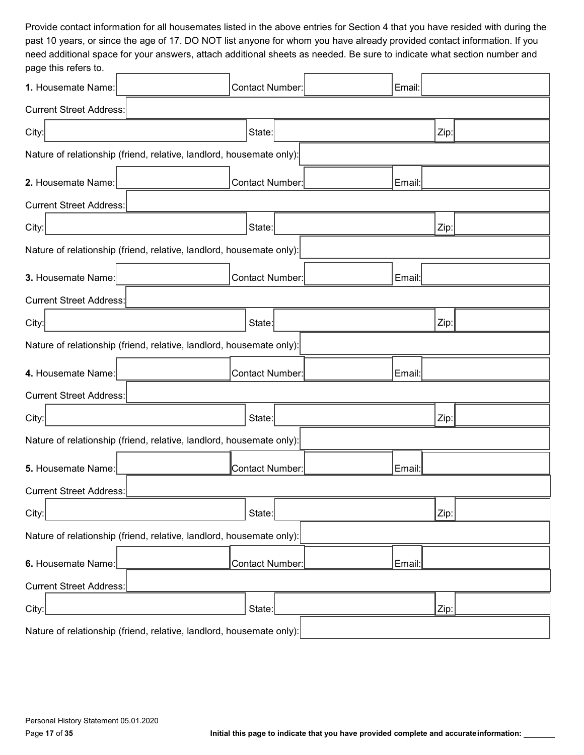Provide contact information for all housemates listed in the above entries for Section 4 that you have resided with during the past 10 years, or since the age of 17. DO NOT list anyone for whom you have already provided contact information. If you need additional space for your answers, attach additional sheets as needed. Be sure to indicate what section number and page this refers to.

| pago uno roioro lo.            |                                                                      |                           |  |        |      |  |
|--------------------------------|----------------------------------------------------------------------|---------------------------|--|--------|------|--|
| 1. Housemate Name:             |                                                                      | Contact Number:<br>Email: |  |        |      |  |
| <b>Current Street Address:</b> |                                                                      |                           |  |        |      |  |
| City:                          |                                                                      | State:                    |  |        | Zip: |  |
|                                | Nature of relationship (friend, relative, landlord, housemate only): |                           |  |        |      |  |
| 2. Housemate Name:             |                                                                      | Contact Number:           |  | Email: |      |  |
| <b>Current Street Address:</b> |                                                                      |                           |  |        |      |  |
| City:                          |                                                                      | State:                    |  |        | Zip: |  |
|                                | Nature of relationship (friend, relative, landlord, housemate only): |                           |  |        |      |  |
| 3. Housemate Name:             |                                                                      | Contact Number:           |  | Email: |      |  |
| <b>Current Street Address:</b> |                                                                      |                           |  |        |      |  |
| City:                          |                                                                      | State:                    |  |        | Zip: |  |
|                                | Nature of relationship (friend, relative, landlord, housemate only): |                           |  |        |      |  |
| 4. Housemate Name:             |                                                                      | Contact Number:           |  | Email: |      |  |
| <b>Current Street Address:</b> |                                                                      |                           |  |        |      |  |
| City:                          |                                                                      | State:                    |  |        | Zip: |  |
|                                | Nature of relationship (friend, relative, landlord, housemate only): |                           |  |        |      |  |
| 5. Housemate Name:             |                                                                      | Contact Number:           |  | Email: |      |  |
| <b>Current Street Address:</b> |                                                                      |                           |  |        |      |  |
| City:                          |                                                                      | State:                    |  |        | Zip: |  |
|                                | Nature of relationship (friend, relative, landlord, housemate only): |                           |  |        |      |  |
| 6. Housemate Name:             |                                                                      | Contact Number:           |  | Email: |      |  |
| <b>Current Street Address:</b> |                                                                      |                           |  |        |      |  |
| City:                          |                                                                      | State:                    |  |        | Zip: |  |
|                                | Nature of relationship (friend, relative, landlord, housemate only): |                           |  |        |      |  |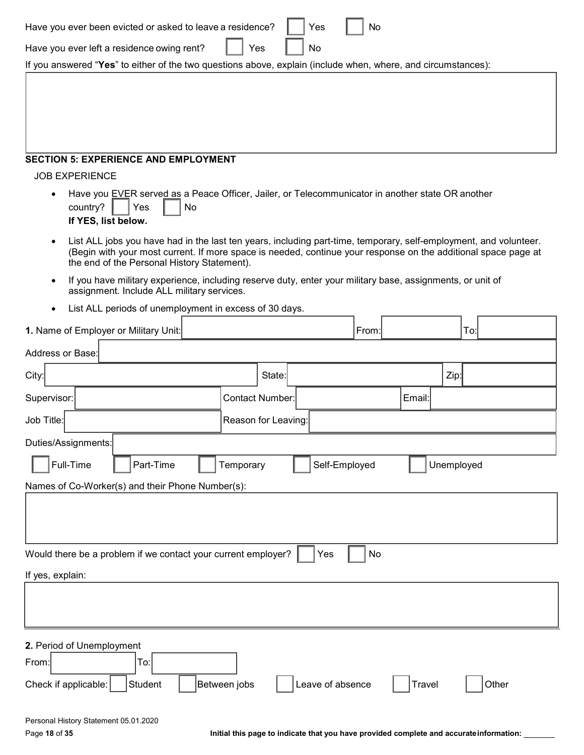| Have you ever been evicted or asked to leave a residence?                                                                                                                                                                                                                          | Yes                 | No               |               |            |
|------------------------------------------------------------------------------------------------------------------------------------------------------------------------------------------------------------------------------------------------------------------------------------|---------------------|------------------|---------------|------------|
| Have you ever left a residence owing rent?                                                                                                                                                                                                                                         | Yes<br>No           |                  |               |            |
| If you answered "Yes" to either of the two questions above, explain (include when, where, and circumstances):                                                                                                                                                                      |                     |                  |               |            |
|                                                                                                                                                                                                                                                                                    |                     |                  |               |            |
| <b>SECTION 5: EXPERIENCE AND EMPLOYMENT</b>                                                                                                                                                                                                                                        |                     |                  |               |            |
| <b>JOB EXPERIENCE</b><br>Have you EVER served as a Peace Officer, Jailer, or Telecommunicator in another state OR another<br>٠<br>country?<br>Yes<br>No<br>If YES, list below.                                                                                                     |                     |                  |               |            |
| List ALL jobs you have had in the last ten years, including part-time, temporary, self-employment, and volunteer.<br>(Begin with your most current. If more space is needed, continue your response on the additional space page at<br>the end of the Personal History Statement). |                     |                  |               |            |
| If you have military experience, including reserve duty, enter your military base, assignments, or unit of<br>assignment. Include ALL military services.                                                                                                                           |                     |                  |               |            |
| List ALL periods of unemployment in excess of 30 days.                                                                                                                                                                                                                             |                     |                  |               |            |
| 1. Name of Employer or Military Unit:                                                                                                                                                                                                                                              |                     | From:            |               | To:        |
| Address or Base:                                                                                                                                                                                                                                                                   |                     |                  |               |            |
| City:                                                                                                                                                                                                                                                                              | State:              |                  | Zip:          |            |
| Supervisor:                                                                                                                                                                                                                                                                        | Contact Number:     |                  | Email:        |            |
| Job Title:                                                                                                                                                                                                                                                                         | Reason for Leaving: |                  |               |            |
| Duties/Assignments:                                                                                                                                                                                                                                                                |                     |                  |               |            |
| Full-Time<br>Part-Time                                                                                                                                                                                                                                                             | Temporary           | Self-Employed    |               | Unemployed |
| Names of Co-Worker(s) and their Phone Number(s):                                                                                                                                                                                                                                   |                     |                  |               |            |
|                                                                                                                                                                                                                                                                                    |                     |                  |               |            |
| Would there be a problem if we contact your current employer?                                                                                                                                                                                                                      |                     | No<br>Yes        |               |            |
| If yes, explain:                                                                                                                                                                                                                                                                   |                     |                  |               |            |
|                                                                                                                                                                                                                                                                                    |                     |                  |               |            |
| 2. Period of Unemployment<br>To:<br>From:<br>Check if applicable:<br>Student                                                                                                                                                                                                       | Between jobs        | Leave of absence | <b>Travel</b> | Other      |
| Personal History Statement 05.01.2020                                                                                                                                                                                                                                              |                     |                  |               |            |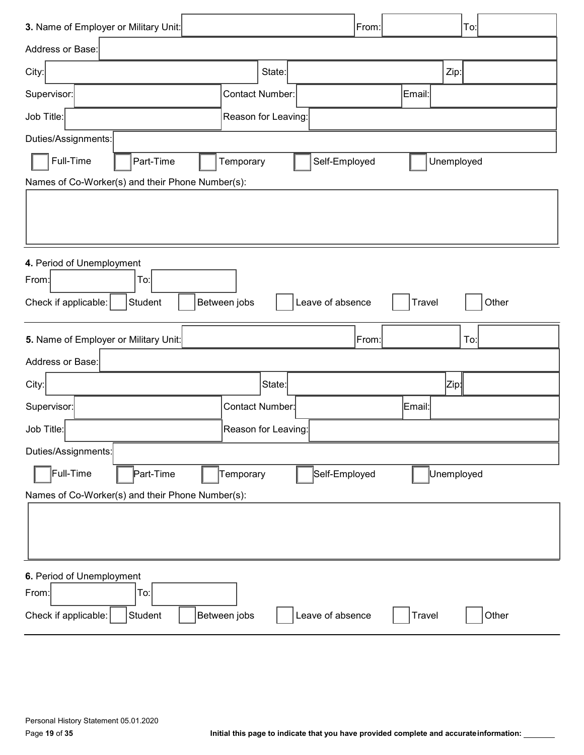| 3. Name of Employer or Military Unit:            |                     | From:            | To:                    |
|--------------------------------------------------|---------------------|------------------|------------------------|
| Address or Base:                                 |                     |                  |                        |
| City:                                            | State:              |                  | Zip:                   |
| Supervisor:                                      | Contact Number:     | Email:           |                        |
| Job Title:                                       | Reason for Leaving: |                  |                        |
| Duties/Assignments:                              |                     |                  |                        |
| Full-Time<br>Part-Time                           | Temporary           | Self-Employed    | Unemployed             |
| Names of Co-Worker(s) and their Phone Number(s): |                     |                  |                        |
|                                                  |                     |                  |                        |
|                                                  |                     |                  |                        |
| 4. Period of Unemployment                        |                     |                  |                        |
| To:<br>From:                                     |                     |                  |                        |
| Student<br>Check if applicable:                  | Between jobs        | Leave of absence | Other<br><b>Travel</b> |
|                                                  |                     |                  |                        |
| 5. Name of Employer or Military Unit:            |                     | From:            | To:                    |
| Address or Base:                                 |                     |                  |                        |
| City:                                            | State:              |                  | Zip¦                   |
| Supervisor:                                      | Contact Number:     | Email:           |                        |
| Job Title:                                       | Reason for Leaving: |                  |                        |
| Duties/Assignments:                              |                     |                  |                        |
| Full-Time<br>Part-Time                           | Temporary           | Self-Employed    | Unemployed             |
| Names of Co-Worker(s) and their Phone Number(s): |                     |                  |                        |
|                                                  |                     |                  |                        |
| 6. Period of Unemployment                        |                     |                  |                        |
| From:<br>To:                                     |                     |                  |                        |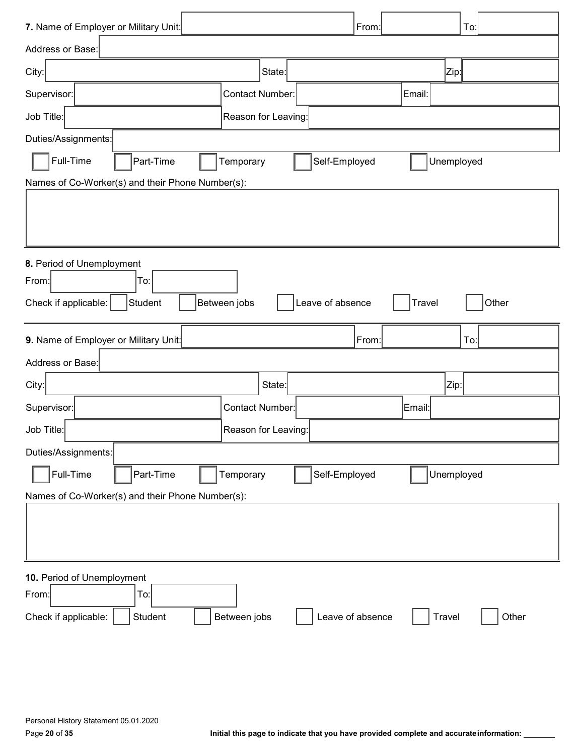| 7. Name of Employer or Military Unit:            |                        | From:            | To:                    |
|--------------------------------------------------|------------------------|------------------|------------------------|
| Address or Base:                                 |                        |                  |                        |
| City:                                            | State:                 |                  | Zip:                   |
| Supervisor:                                      | <b>Contact Number:</b> |                  | Email:                 |
| Job Title:                                       | Reason for Leaving:    |                  |                        |
| Duties/Assignments:                              |                        |                  |                        |
| Full-Time<br>Part-Time                           | Temporary              | Self-Employed    | Unemployed             |
| Names of Co-Worker(s) and their Phone Number(s): |                        |                  |                        |
|                                                  |                        |                  |                        |
|                                                  |                        |                  |                        |
|                                                  |                        |                  |                        |
| 8. Period of Unemployment<br>To:<br>From:        |                        |                  |                        |
| Student<br>Check if applicable:                  | Between jobs           | Leave of absence | Other<br>Travel        |
|                                                  |                        |                  |                        |
|                                                  |                        |                  |                        |
| 9. Name of Employer or Military Unit:            |                        | From:            | To:                    |
| Address or Base:                                 |                        |                  |                        |
| City:                                            | State:                 |                  | Zip:                   |
| Supervisor:                                      | <b>Contact Number:</b> |                  | ∣Email:∣               |
| Job Title:                                       | Reason for Leaving:    |                  |                        |
| Duties/Assignments:                              |                        |                  |                        |
| Full-Time<br>Part-Time                           | Temporary              | Self-Employed    | Unemployed             |
| Names of Co-Worker(s) and their Phone Number(s): |                        |                  |                        |
|                                                  |                        |                  |                        |
|                                                  |                        |                  |                        |
|                                                  |                        |                  |                        |
| 10. Period of Unemployment                       |                        |                  |                        |
| From:<br>To:<br>Student<br>Check if applicable:  | Between jobs           | Leave of absence | <b>Travel</b><br>Other |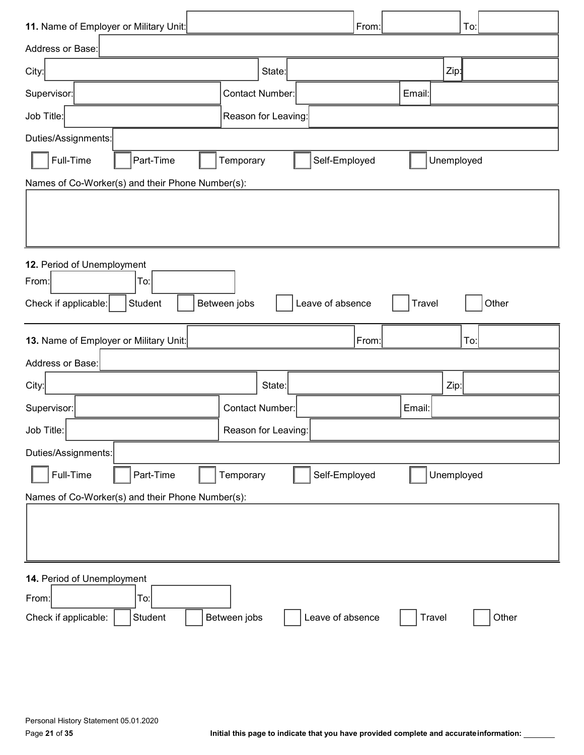| 11. Name of Employer or Military Unit: |                                                  |                        |                  | From: |               |                  | To:   |
|----------------------------------------|--------------------------------------------------|------------------------|------------------|-------|---------------|------------------|-------|
| Address or Base:                       |                                                  |                        |                  |       |               |                  |       |
| City:                                  |                                                  | State:                 |                  |       |               | Zip <sub>1</sub> |       |
| Supervisor:                            |                                                  | <b>Contact Number:</b> |                  |       | Email:        |                  |       |
| Job Title:                             |                                                  | Reason for Leaving:    |                  |       |               |                  |       |
| Duties/Assignments:                    |                                                  |                        |                  |       |               |                  |       |
| Full-Time                              | Part-Time                                        | Temporary              | Self-Employed    |       |               | Unemployed       |       |
|                                        | Names of Co-Worker(s) and their Phone Number(s): |                        |                  |       |               |                  |       |
|                                        |                                                  |                        |                  |       |               |                  |       |
|                                        |                                                  |                        |                  |       |               |                  |       |
| 12. Period of Unemployment             |                                                  |                        |                  |       |               |                  |       |
| From:                                  | To:                                              |                        |                  |       |               |                  |       |
| Check if applicable:                   | Student                                          | Between jobs           | Leave of absence |       | Travel        |                  | Other |
|                                        |                                                  |                        |                  |       |               |                  |       |
| 13. Name of Employer or Military Unit: |                                                  |                        |                  | From: |               |                  | To:   |
| Address or Base:                       |                                                  |                        |                  |       |               |                  |       |
| City:                                  |                                                  | State:                 |                  |       |               | Zip:             |       |
| Supervisor:                            |                                                  | <b>Contact Number:</b> |                  |       | Email:        |                  |       |
| Job Title:                             |                                                  | Reason for Leaving:    |                  |       |               |                  |       |
| Duties/Assignments:                    |                                                  |                        |                  |       |               |                  |       |
| Full-Time                              | Part-Time                                        | Temporary              | Self-Employed    |       |               | Unemployed       |       |
|                                        | Names of Co-Worker(s) and their Phone Number(s): |                        |                  |       |               |                  |       |
|                                        |                                                  |                        |                  |       |               |                  |       |
|                                        |                                                  |                        |                  |       |               |                  |       |
| 14. Period of Unemployment             |                                                  |                        |                  |       |               |                  |       |
| From:                                  | To:                                              |                        |                  |       |               |                  |       |
| Check if applicable:                   | Student                                          | Between jobs           | Leave of absence |       | <b>Travel</b> |                  | Other |
|                                        |                                                  |                        |                  |       |               |                  |       |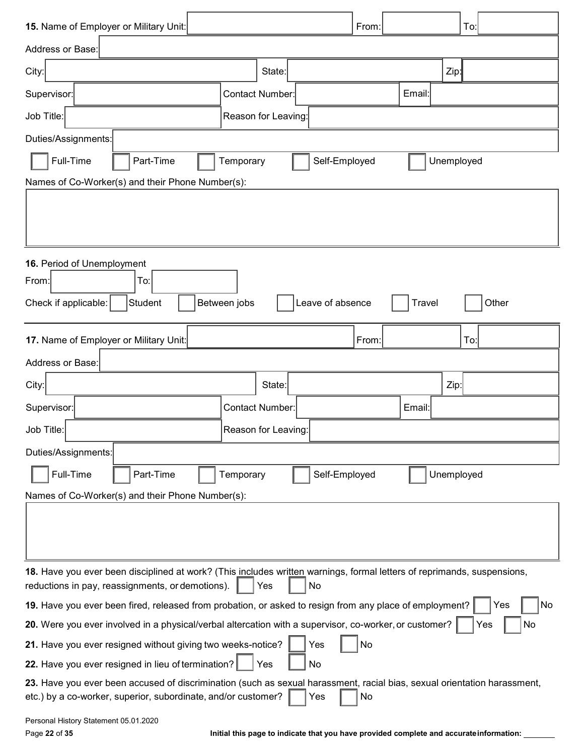| 15. Name of Employer or Military Unit:<br>From:<br>To:                                                                                                                                                 |
|--------------------------------------------------------------------------------------------------------------------------------------------------------------------------------------------------------|
| Address or Base:                                                                                                                                                                                       |
| Zip:<br>City:<br>State:                                                                                                                                                                                |
| <b>Contact Number:</b><br>Supervisor:<br>Email:                                                                                                                                                        |
| Job Title:<br>Reason for Leaving:                                                                                                                                                                      |
| Duties/Assignments:                                                                                                                                                                                    |
| Full-Time<br>Part-Time<br>Self-Employed<br>Unemployed<br>Temporary                                                                                                                                     |
| Names of Co-Worker(s) and their Phone Number(s):                                                                                                                                                       |
|                                                                                                                                                                                                        |
|                                                                                                                                                                                                        |
| 16. Period of Unemployment<br>From:<br>To:                                                                                                                                                             |
| Between jobs<br>Leave of absence<br>Other<br>Student<br>Travel                                                                                                                                         |
| Check if applicable:                                                                                                                                                                                   |
| From:<br>To:<br>17. Name of Employer or Military Unit:                                                                                                                                                 |
| Address or Base:                                                                                                                                                                                       |
| City:<br>State:<br>Zip:                                                                                                                                                                                |
| <b>Contact Number:</b><br>Supervisor:<br>Email:                                                                                                                                                        |
| Job Title:<br>Reason for Leaving:                                                                                                                                                                      |
| Duties/Assignments:                                                                                                                                                                                    |
| Full-Time<br>Part-Time<br>Self-Employed<br>Unemployed<br>Temporary                                                                                                                                     |
| Names of Co-Worker(s) and their Phone Number(s):                                                                                                                                                       |
|                                                                                                                                                                                                        |
|                                                                                                                                                                                                        |
| 18. Have you ever been disciplined at work? (This includes written warnings, formal letters of reprimands, suspensions,                                                                                |
| reductions in pay, reassignments, or demotions).<br>No<br>Yes                                                                                                                                          |
| 19. Have you ever been fired, released from probation, or asked to resign from any place of employment?<br>Yes<br>No                                                                                   |
| 20. Were you ever involved in a physical/verbal altercation with a supervisor, co-worker, or customer?<br>No<br>Yes                                                                                    |
| 21. Have you ever resigned without giving two weeks-notice?<br>Yes<br>No                                                                                                                               |
| 22. Have you ever resigned in lieu of termination?<br>Yes<br>No                                                                                                                                        |
| 23. Have you ever been accused of discrimination (such as sexual harassment, racial bias, sexual orientation harassment,<br>etc.) by a co-worker, superior, subordinate, and/or customer?<br>No<br>Yes |
| Personal History Statement 05.01.2020                                                                                                                                                                  |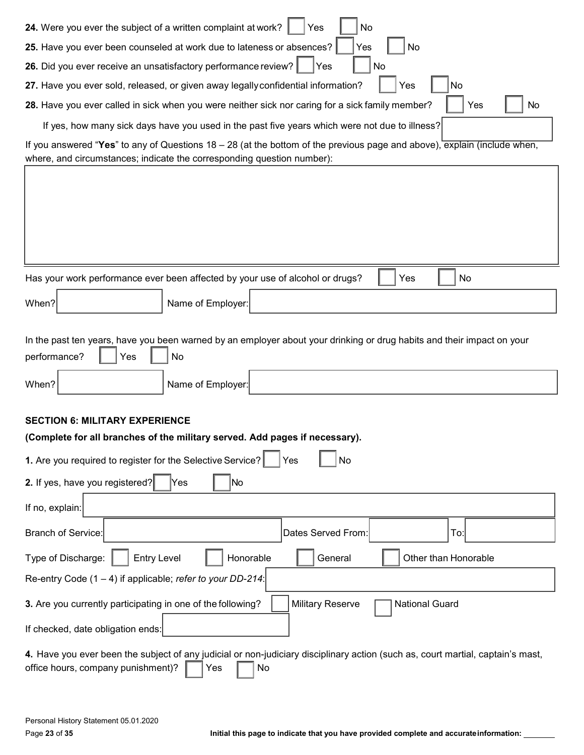| No<br>24. Were you ever the subject of a written complaint at work?<br>Yes                                                                                                         |
|------------------------------------------------------------------------------------------------------------------------------------------------------------------------------------|
| 25. Have you ever been counseled at work due to lateness or absences?<br>No<br>Yes                                                                                                 |
| 26. Did you ever receive an unsatisfactory performance review?<br>No<br>Yes                                                                                                        |
| No<br>27. Have you ever sold, released, or given away legally confidential information?<br>Yes                                                                                     |
| 28. Have you ever called in sick when you were neither sick nor caring for a sick family member?<br>Yes<br>No                                                                      |
| If yes, how many sick days have you used in the past five years which were not due to illness?                                                                                     |
| If you answered "Yes" to any of Questions $18 - 28$ (at the bottom of the previous page and above), explain (include when,                                                         |
| where, and circumstances; indicate the corresponding question number):                                                                                                             |
|                                                                                                                                                                                    |
|                                                                                                                                                                                    |
|                                                                                                                                                                                    |
|                                                                                                                                                                                    |
|                                                                                                                                                                                    |
| Has your work performance ever been affected by your use of alcohol or drugs?<br>No<br>Yes                                                                                         |
| When?<br>Name of Employer:                                                                                                                                                         |
|                                                                                                                                                                                    |
| In the past ten years, have you been warned by an employer about your drinking or drug habits and their impact on your                                                             |
| performance?<br>Yes<br>No                                                                                                                                                          |
| When?<br>Name of Employer:                                                                                                                                                         |
|                                                                                                                                                                                    |
| <b>SECTION 6: MILITARY EXPERIENCE</b>                                                                                                                                              |
| (Complete for all branches of the military served. Add pages if necessary).                                                                                                        |
| 1. Are you required to register for the Selective Service?<br>No<br>Yes                                                                                                            |
| 2. If yes, have you registered?<br>No<br>Yes                                                                                                                                       |
| If no, explain:                                                                                                                                                                    |
| To:<br><b>Branch of Service:</b><br>Dates Served From:                                                                                                                             |
| Honorable<br>Other than Honorable<br>Type of Discharge:<br><b>Entry Level</b><br>General                                                                                           |
| Re-entry Code $(1 - 4)$ if applicable; refer to your DD-214:                                                                                                                       |
| 3. Are you currently participating in one of the following?<br><b>Military Reserve</b><br><b>National Guard</b>                                                                    |
| If checked, date obligation ends:                                                                                                                                                  |
| 4. Have you ever been the subject of any judicial or non-judiciary disciplinary action (such as, court martial, captain's mast,<br>No<br>office hours, company punishment)?<br>Yes |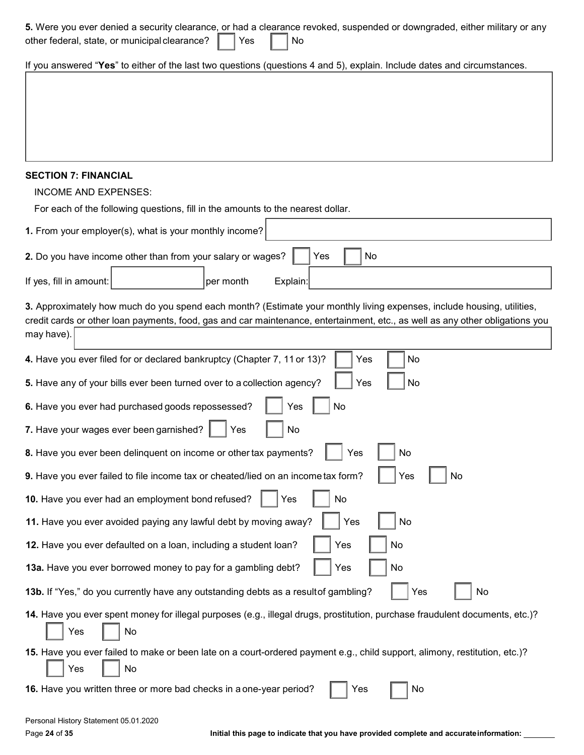| 5. Were you ever denied a security clearance, or had a clearance revoked, suspended or downgraded, either military or any<br>other federal, state, or municipal clearance?<br>Yes<br>No                                                                               |
|-----------------------------------------------------------------------------------------------------------------------------------------------------------------------------------------------------------------------------------------------------------------------|
| If you answered "Yes" to either of the last two questions (questions 4 and 5), explain. Include dates and circumstances.                                                                                                                                              |
|                                                                                                                                                                                                                                                                       |
|                                                                                                                                                                                                                                                                       |
|                                                                                                                                                                                                                                                                       |
|                                                                                                                                                                                                                                                                       |
| <b>SECTION 7: FINANCIAL</b>                                                                                                                                                                                                                                           |
| <b>INCOME AND EXPENSES:</b>                                                                                                                                                                                                                                           |
| For each of the following questions, fill in the amounts to the nearest dollar.                                                                                                                                                                                       |
| 1. From your employer(s), what is your monthly income?                                                                                                                                                                                                                |
| No<br>2. Do you have income other than from your salary or wages?<br>Yes                                                                                                                                                                                              |
| If yes, fill in amount:<br>per month<br>Explain:                                                                                                                                                                                                                      |
| 3. Approximately how much do you spend each month? (Estimate your monthly living expenses, include housing, utilities,<br>credit cards or other loan payments, food, gas and car maintenance, entertainment, etc., as well as any other obligations you<br>may have). |
|                                                                                                                                                                                                                                                                       |
| No<br>4. Have you ever filed for or declared bankruptcy (Chapter 7, 11 or 13)?<br>Yes                                                                                                                                                                                 |
| 5. Have any of your bills ever been turned over to a collection agency?<br>No<br>Yes                                                                                                                                                                                  |
| No<br>6. Have you ever had purchased goods repossessed?<br>Yes                                                                                                                                                                                                        |
| 7. Have your wages ever been garnished?<br>No<br>Yes                                                                                                                                                                                                                  |
| Yes<br>No<br>8. Have you ever been delinquent on income or other tax payments?                                                                                                                                                                                        |
| 9. Have you ever failed to file income tax or cheated/lied on an income tax form?<br>Yes<br>No                                                                                                                                                                        |
| 10. Have you ever had an employment bond refused?<br>No<br>Yes                                                                                                                                                                                                        |
| Yes<br>11. Have you ever avoided paying any lawful debt by moving away?<br>No                                                                                                                                                                                         |
| 12. Have you ever defaulted on a loan, including a student loan?<br>Yes<br>No                                                                                                                                                                                         |
| 13a. Have you ever borrowed money to pay for a gambling debt?<br>Yes<br>No                                                                                                                                                                                            |
| 13b. If "Yes," do you currently have any outstanding debts as a resultof gambling?<br>Yes<br>No                                                                                                                                                                       |
| 14. Have you ever spent money for illegal purposes (e.g., illegal drugs, prostitution, purchase fraudulent documents, etc.)?<br>Yes<br>No                                                                                                                             |
| 15. Have you ever failed to make or been late on a court-ordered payment e.g., child support, alimony, restitution, etc.)?<br>No<br>Yes                                                                                                                               |
| 16. Have you written three or more bad checks in a one-year period?<br>No<br>Yes                                                                                                                                                                                      |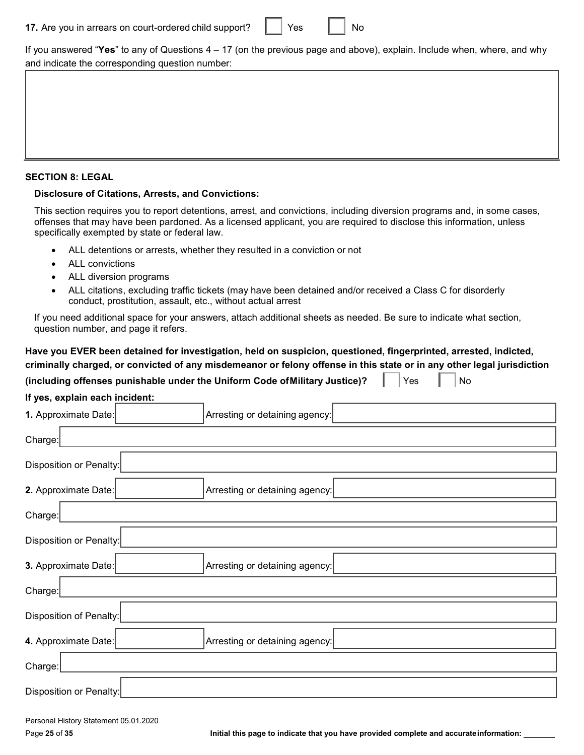| 17. Are you in arrears on court-ordered child support? |  | Yes |  | No |
|--------------------------------------------------------|--|-----|--|----|
|--------------------------------------------------------|--|-----|--|----|

If you answered "**Yes**" to any of Questions 4 – 17 (on the previous page and above), explain. Include when, where, and why and indicate the corresponding question number:

#### **SECTION 8: LEGAL**

#### **Disclosure of Citations, Arrests, and Convictions:**

This section requires you to report detentions, arrest, and convictions, including diversion programs and, in some cases, offenses that may have been pardoned. As a licensed applicant, you are required to disclose this information, unless specifically exempted by state or federal law.

- ALL detentions or arrests, whether they resulted in a conviction or not
- ALL convictions
- ALL diversion programs
- ALL citations, excluding traffic tickets (may have been detained and/or received a Class C for disorderly conduct, prostitution, assault, etc., without actual arrest

If you need additional space for your answers, attach additional sheets as needed. Be sure to indicate what section, question number, and page it refers.

# **Have you EVER been detained for investigation, held on suspicion, questioned, fingerprinted, arrested, indicted, criminally charged, or convicted of any misdemeanor or felony offense in this state or in any other legal jurisdiction (including offenses punishable under the Uniform Code of Military Justice)?**  $\|\cdot\|$  Yes  $\|\cdot\|$  No

| If yes, explain each incident:                         |                                |  |  |  |
|--------------------------------------------------------|--------------------------------|--|--|--|
| 1. Approximate Date:<br>Arresting or detaining agency: |                                |  |  |  |
| Charge:                                                |                                |  |  |  |
| Disposition or Penalty:                                |                                |  |  |  |
| 2. Approximate Date:                                   | Arresting or detaining agency: |  |  |  |
| Charge:                                                |                                |  |  |  |
| Disposition or Penalty:                                |                                |  |  |  |
| 3. Approximate Date:<br>Arresting or detaining agency: |                                |  |  |  |
| Charge:                                                |                                |  |  |  |
| Disposition of Penalty:                                |                                |  |  |  |
| 4. Approximate Date:                                   | Arresting or detaining agency: |  |  |  |
| Charge:                                                |                                |  |  |  |
| Disposition or Penalty:                                |                                |  |  |  |
|                                                        |                                |  |  |  |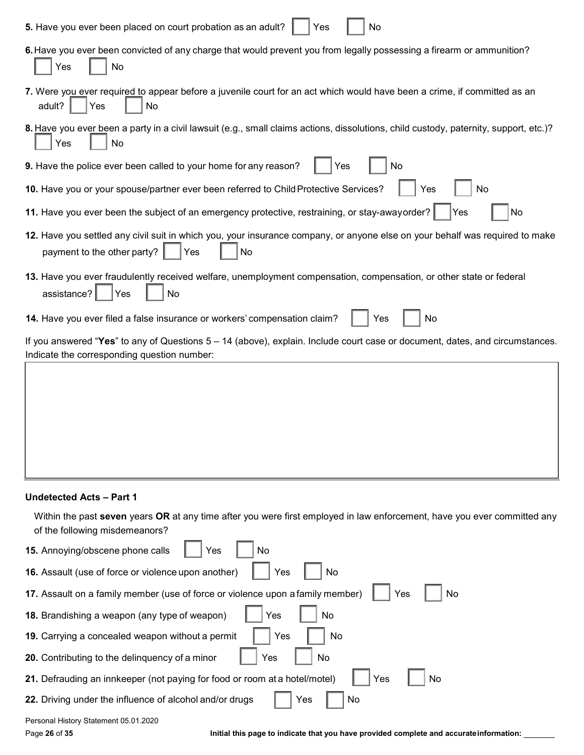| 5. Have you ever been placed on court probation as an adult?<br>No<br>Yes                                                                                                     |  |  |  |
|-------------------------------------------------------------------------------------------------------------------------------------------------------------------------------|--|--|--|
| 6. Have you ever been convicted of any charge that would prevent you from legally possessing a firearm or ammunition?<br>No<br>Yes                                            |  |  |  |
| 7. Were you ever required to appear before a juvenile court for an act which would have been a crime, if committed as an<br>adult?<br>No<br>Yes                               |  |  |  |
| 8. Have you ever been a party in a civil lawsuit (e.g., small claims actions, dissolutions, child custody, paternity, support, etc.)?<br>Yes<br>No                            |  |  |  |
| 9. Have the police ever been called to your home for any reason?<br>Yes<br>No                                                                                                 |  |  |  |
| 10. Have you or your spouse/partner ever been referred to Child Protective Services?<br>Yes<br>No                                                                             |  |  |  |
| 11. Have you ever been the subject of an emergency protective, restraining, or stay-awayorder?<br>No<br>Yes                                                                   |  |  |  |
| 12. Have you settled any civil suit in which you, your insurance company, or anyone else on your behalf was required to make<br>payment to the other party?<br>Yes<br>No      |  |  |  |
| 13. Have you ever fraudulently received welfare, unemployment compensation, compensation, or other state or federal<br>assistance?<br>No<br>Yes                               |  |  |  |
| 14. Have you ever filed a false insurance or workers' compensation claim?<br>No<br>Yes                                                                                        |  |  |  |
| If you answered "Yes" to any of Questions $5 - 14$ (above), explain. Include court case or document, dates, and circumstances.<br>Indicate the corresponding question number: |  |  |  |
|                                                                                                                                                                               |  |  |  |
|                                                                                                                                                                               |  |  |  |
|                                                                                                                                                                               |  |  |  |
|                                                                                                                                                                               |  |  |  |
|                                                                                                                                                                               |  |  |  |

#### **Undetected Acts – Part 1**

-l,

Within the past **seven** years **OR** at any time after you were first employed in law enforcement, have you ever committed any of the following misdemeanors?

| 15. Annoying/obscene phone calls<br>Yes<br>No                                               |  |  |  |
|---------------------------------------------------------------------------------------------|--|--|--|
| 16. Assault (use of force or violence upon another)<br>Yes<br>No                            |  |  |  |
| Yes<br>17. Assault on a family member (use of force or violence upon a family member)<br>No |  |  |  |
| 18. Brandishing a weapon (any type of weapon)<br>Yes<br>No                                  |  |  |  |
| Yes<br>19. Carrying a concealed weapon without a permit<br>No                               |  |  |  |
| <b>20.</b> Contributing to the delinguency of a minor<br>No<br>Yes                          |  |  |  |
| 21. Defrauding an innkeeper (not paying for food or room at a hotel/motel)<br>Yes<br>No     |  |  |  |
| <b>22.</b> Driving under the influence of alcohol and/or drugs<br>Yes<br>No                 |  |  |  |
| Personal History Statement 05.01.2020                                                       |  |  |  |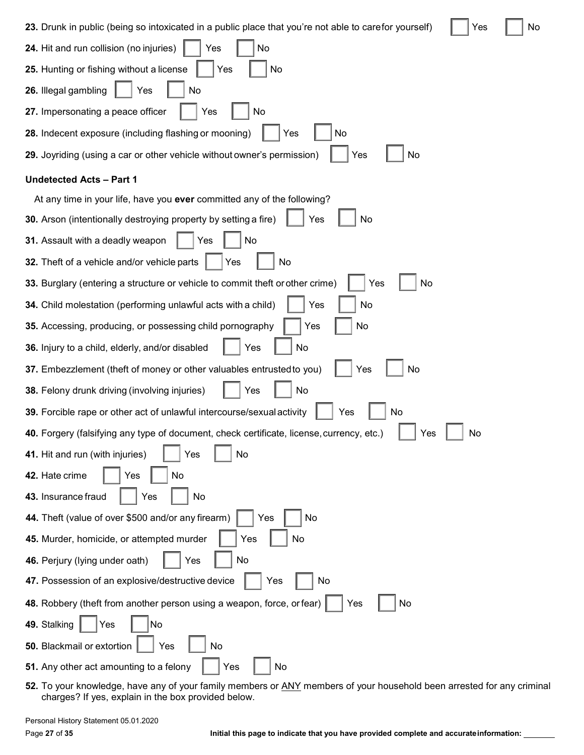**23.** Drunk in public (being so intoxicated in a public place that you're not able to carefor yourself)  $\Box$  Yes  $\Box$  No

| 24. Hit and run collision (no injuries)<br>No<br>Yes                                                   |
|--------------------------------------------------------------------------------------------------------|
| 25. Hunting or fishing without a license<br>No<br>Yes                                                  |
| 26. Illegal gambling<br>Yes<br>No                                                                      |
| 27. Impersonating a peace officer<br>No<br>Yes                                                         |
| 28. Indecent exposure (including flashing or mooning)<br>Yes<br>No                                     |
| 29. Joyriding (using a car or other vehicle without owner's permission)<br>Yes<br>No                   |
| <b>Undetected Acts - Part 1</b>                                                                        |
| At any time in your life, have you ever committed any of the following?                                |
| 30. Arson (intentionally destroying property by setting a fire)<br>Yes<br>No                           |
| 31. Assault with a deadly weapon<br>No<br>Yes                                                          |
| 32. Theft of a vehicle and/or vehicle parts<br>No<br>Yes                                               |
| 33. Burglary (entering a structure or vehicle to commit theft or other crime)<br>No<br>Yes             |
| No<br>34. Child molestation (performing unlawful acts with a child)<br>Yes                             |
| 35. Accessing, producing, or possessing child pornography<br>No<br>Yes                                 |
| 36. Injury to a child, elderly, and/or disabled<br>Yes<br>No                                           |
| 37. Embezzlement (theft of money or other valuables entrusted to you)<br>No<br>Yes                     |
| 38. Felony drunk driving (involving injuries)<br>No<br>Yes                                             |
| 39. Forcible rape or other act of unlawful intercourse/sexual activity<br>No<br>Yes                    |
| 40. Forgery (falsifying any type of document, check certificate, license, currency, etc.)<br>No<br>Yes |
| 41. Hit and run (with injuries)<br>Yes<br>No                                                           |
| 42. Hate crime<br>No<br>Yes                                                                            |
| 43. Insurance fraud<br>No<br>Yes                                                                       |
| 44. Theft (value of over \$500 and/or any firearm)<br>No<br>Yes                                        |
| 45. Murder, homicide, or attempted murder<br>No<br>Yes                                                 |
| Yes<br>No<br>46. Perjury (lying under oath)                                                            |
| 47. Possession of an explosive/destructive device<br>Yes<br>No                                         |
| 48. Robbery (theft from another person using a weapon, force, or fear)<br>Yes<br>No                    |
| 49. Stalking<br>Yes<br>No                                                                              |
| 50. Blackmail or extortion<br>Yes<br>No                                                                |
| 51. Any other act amounting to a felony<br>Yes<br>No                                                   |
|                                                                                                        |

**52.** To your knowledge, have any of your family members or ANY members of your household been arrested for any criminal charges? If yes, explain in the box provided below.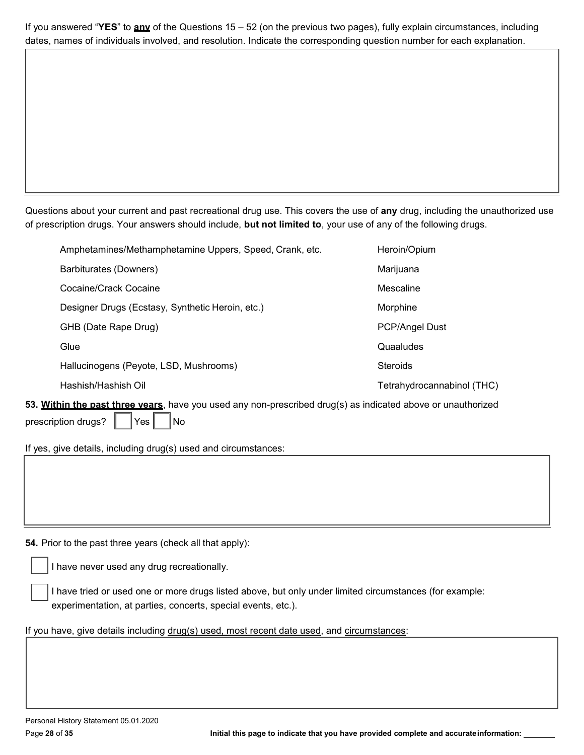If you answered "**YES**" to **any** of the Questions 15 – 52 (on the previous two pages), fully explain circumstances, including dates, names of individuals involved, and resolution. Indicate the corresponding question number for each explanation.

Questions about your current and past recreational drug use. This covers the use of **any** drug, including the unauthorized use of prescription drugs. Your answers should include, **but not limited to**, your use of any of the following drugs.

|       | Amphetamines/Methamphetamine Uppers, Speed, Crank, etc. | Heroin/Opium               |
|-------|---------------------------------------------------------|----------------------------|
|       | Barbiturates (Downers)                                  | Marijuana                  |
|       | Cocaine/Crack Cocaine                                   | Mescaline                  |
|       | Designer Drugs (Ecstasy, Synthetic Heroin, etc.)        | Morphine                   |
|       | GHB (Date Rape Drug)                                    | <b>PCP/Angel Dust</b>      |
|       | Glue                                                    | Quaaludes                  |
|       | Hallucinogens (Peyote, LSD, Mushrooms)                  | <b>Steroids</b>            |
|       | Hashish/Hashish Oil                                     | Tetrahydrocannabinol (THC) |
| $\mu$ |                                                         |                            |

**53. Within the past three years**, have you used any non-prescribed drug(s) as indicated above or unauthorized prescription drugs?  $\parallel$   $\parallel$  Yes  $\parallel$   $\parallel$  No

If yes, give details, including drug(s) used and circumstances:

**54.** Prior to the past three years (check all that apply):

I have never used any drug recreationally.

I have tried or used one or more drugs listed above, but only under limited circumstances (for example: experimentation, at parties, concerts, special events, etc.).

## If you have, give details including drug(s) used, most recent date used, and circumstances: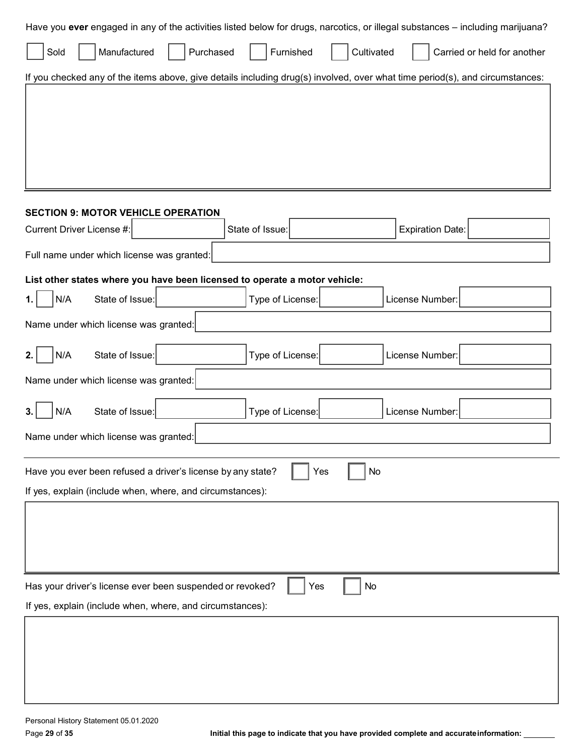| Purchased<br>Furnished<br>Cultivated<br>Manufactured<br>Carried or held for another<br>Sold<br>If you checked any of the items above, give details including drug(s) involved, over what time period(s), and circumstances:<br><b>SECTION 9: MOTOR VEHICLE OPERATION</b><br>Current Driver License #:<br>State of Issue:<br><b>Expiration Date:</b><br>Full name under which license was granted:<br>List other states where you have been licensed to operate a motor vehicle:<br>N/A<br>State of Issue:<br>Type of License:<br>License Number:<br>Name under which license was granted:<br>N/A<br>State of Issue:<br>Type of License:<br>License Number:<br>2.<br>Name under which license was granted: |  |  |  |
|-----------------------------------------------------------------------------------------------------------------------------------------------------------------------------------------------------------------------------------------------------------------------------------------------------------------------------------------------------------------------------------------------------------------------------------------------------------------------------------------------------------------------------------------------------------------------------------------------------------------------------------------------------------------------------------------------------------|--|--|--|
|                                                                                                                                                                                                                                                                                                                                                                                                                                                                                                                                                                                                                                                                                                           |  |  |  |
|                                                                                                                                                                                                                                                                                                                                                                                                                                                                                                                                                                                                                                                                                                           |  |  |  |
|                                                                                                                                                                                                                                                                                                                                                                                                                                                                                                                                                                                                                                                                                                           |  |  |  |
|                                                                                                                                                                                                                                                                                                                                                                                                                                                                                                                                                                                                                                                                                                           |  |  |  |
|                                                                                                                                                                                                                                                                                                                                                                                                                                                                                                                                                                                                                                                                                                           |  |  |  |
|                                                                                                                                                                                                                                                                                                                                                                                                                                                                                                                                                                                                                                                                                                           |  |  |  |
|                                                                                                                                                                                                                                                                                                                                                                                                                                                                                                                                                                                                                                                                                                           |  |  |  |
|                                                                                                                                                                                                                                                                                                                                                                                                                                                                                                                                                                                                                                                                                                           |  |  |  |
|                                                                                                                                                                                                                                                                                                                                                                                                                                                                                                                                                                                                                                                                                                           |  |  |  |
|                                                                                                                                                                                                                                                                                                                                                                                                                                                                                                                                                                                                                                                                                                           |  |  |  |
|                                                                                                                                                                                                                                                                                                                                                                                                                                                                                                                                                                                                                                                                                                           |  |  |  |
|                                                                                                                                                                                                                                                                                                                                                                                                                                                                                                                                                                                                                                                                                                           |  |  |  |
|                                                                                                                                                                                                                                                                                                                                                                                                                                                                                                                                                                                                                                                                                                           |  |  |  |
|                                                                                                                                                                                                                                                                                                                                                                                                                                                                                                                                                                                                                                                                                                           |  |  |  |
|                                                                                                                                                                                                                                                                                                                                                                                                                                                                                                                                                                                                                                                                                                           |  |  |  |
| State of Issue:<br>N/A<br>Type of License:<br>License Number:                                                                                                                                                                                                                                                                                                                                                                                                                                                                                                                                                                                                                                             |  |  |  |
| Name under which license was granted:                                                                                                                                                                                                                                                                                                                                                                                                                                                                                                                                                                                                                                                                     |  |  |  |
| Have you ever been refused a driver's license by any state?<br>No<br>Yes                                                                                                                                                                                                                                                                                                                                                                                                                                                                                                                                                                                                                                  |  |  |  |
| If yes, explain (include when, where, and circumstances):                                                                                                                                                                                                                                                                                                                                                                                                                                                                                                                                                                                                                                                 |  |  |  |
|                                                                                                                                                                                                                                                                                                                                                                                                                                                                                                                                                                                                                                                                                                           |  |  |  |
|                                                                                                                                                                                                                                                                                                                                                                                                                                                                                                                                                                                                                                                                                                           |  |  |  |
|                                                                                                                                                                                                                                                                                                                                                                                                                                                                                                                                                                                                                                                                                                           |  |  |  |
| Has your driver's license ever been suspended or revoked?<br>No<br>Yes                                                                                                                                                                                                                                                                                                                                                                                                                                                                                                                                                                                                                                    |  |  |  |
| If yes, explain (include when, where, and circumstances):                                                                                                                                                                                                                                                                                                                                                                                                                                                                                                                                                                                                                                                 |  |  |  |
|                                                                                                                                                                                                                                                                                                                                                                                                                                                                                                                                                                                                                                                                                                           |  |  |  |
|                                                                                                                                                                                                                                                                                                                                                                                                                                                                                                                                                                                                                                                                                                           |  |  |  |
|                                                                                                                                                                                                                                                                                                                                                                                                                                                                                                                                                                                                                                                                                                           |  |  |  |
|                                                                                                                                                                                                                                                                                                                                                                                                                                                                                                                                                                                                                                                                                                           |  |  |  |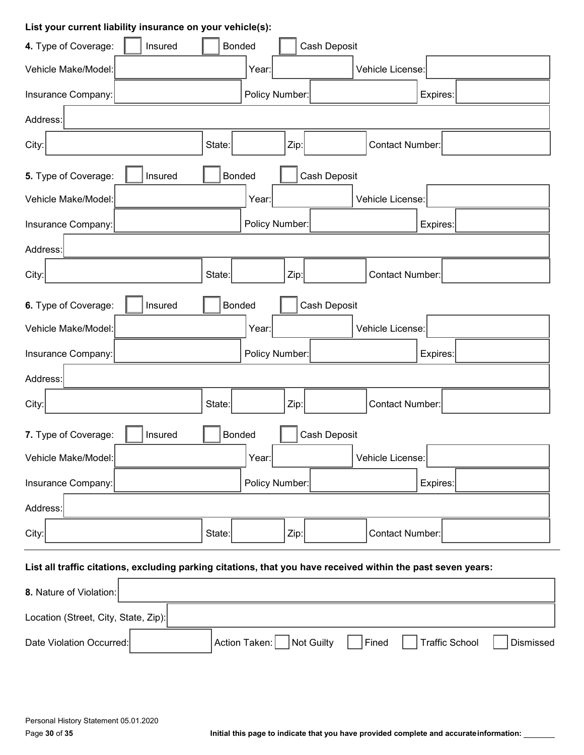# **List your current liability insurance on your vehicle(s):**

| Insured<br>4. Type of Coverage:                                                                              | <b>Bonded</b>               | Cash Deposit                                |  |
|--------------------------------------------------------------------------------------------------------------|-----------------------------|---------------------------------------------|--|
| Vehicle Make/Model:                                                                                          | Year:                       | Vehicle License:                            |  |
| Insurance Company:                                                                                           | Policy Number:              | Expires:                                    |  |
| Address:                                                                                                     |                             |                                             |  |
| City:                                                                                                        | State:<br>Zip:              | Contact Number:                             |  |
| 5. Type of Coverage:<br>Insured                                                                              | <b>Bonded</b>               | Cash Deposit                                |  |
| Vehicle Make/Model:                                                                                          | Year:                       | Vehicle License:                            |  |
| Insurance Company:                                                                                           | Policy Number:              | Expires:                                    |  |
| Address:                                                                                                     |                             |                                             |  |
| City:                                                                                                        | State:<br>Zip:              | Contact Number:                             |  |
| 6. Type of Coverage:<br>Insured                                                                              | <b>Bonded</b>               | Cash Deposit                                |  |
| Vehicle Make/Model:                                                                                          | Year:                       | Vehicle License:                            |  |
| Insurance Company:                                                                                           | Policy Number:              | Expires:                                    |  |
| Address:                                                                                                     |                             |                                             |  |
| City:                                                                                                        | State:<br>Zip:              | Contact Number:                             |  |
| Cash Deposit<br><b>Bonded</b><br>7. Type of Coverage:<br>Insured                                             |                             |                                             |  |
| Vehicle Make/Model:                                                                                          | Year:                       | Vehicle License:                            |  |
| Insurance Company:                                                                                           | Policy Number:              | Expires:                                    |  |
| Address:                                                                                                     |                             |                                             |  |
| City:                                                                                                        | State:<br>Zip:              | <b>Contact Number:</b>                      |  |
| List all traffic citations, excluding parking citations, that you have received within the past seven years: |                             |                                             |  |
| 8. Nature of Violation:                                                                                      |                             |                                             |  |
| Location (Street, City, State, Zip):                                                                         |                             |                                             |  |
| Date Violation Occurred:                                                                                     | Not Guilty<br>Action Taken: | <b>Traffic School</b><br>Fined<br>Dismissed |  |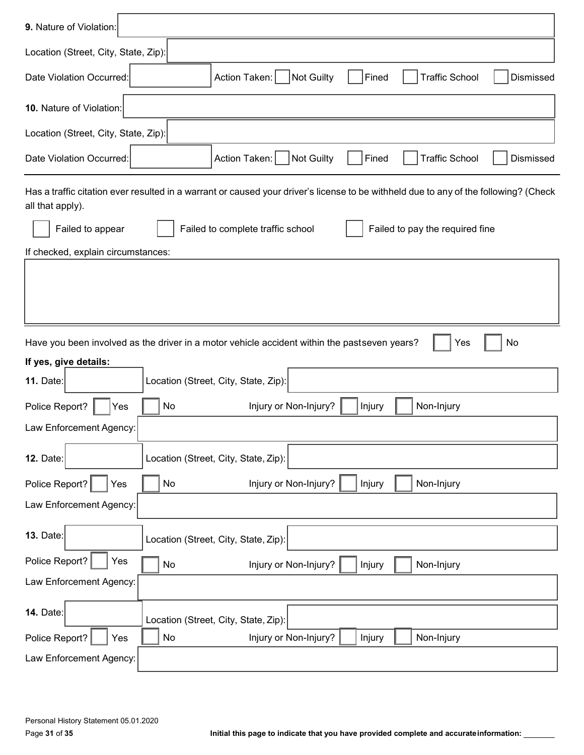| 9. Nature of Violation:                                                                                                                                  |  |  |  |
|----------------------------------------------------------------------------------------------------------------------------------------------------------|--|--|--|
| Location (Street, City, State, Zip):                                                                                                                     |  |  |  |
| <b>Traffic School</b><br>Dismissed<br>Date Violation Occurred:<br>Action Taken:  <br>Not Guilty<br>Fined                                                 |  |  |  |
| 10. Nature of Violation:                                                                                                                                 |  |  |  |
| Location (Street, City, State, Zip):                                                                                                                     |  |  |  |
| <b>Not Guilty</b><br>Action Taken:<br><b>Traffic School</b><br>Dismissed<br>Date Violation Occurred:<br>Fined                                            |  |  |  |
| Has a traffic citation ever resulted in a warrant or caused your driver's license to be withheld due to any of the following? (Check<br>all that apply). |  |  |  |
| Failed to complete traffic school<br>Failed to pay the required fine<br>Failed to appear                                                                 |  |  |  |
| If checked, explain circumstances:                                                                                                                       |  |  |  |
|                                                                                                                                                          |  |  |  |
|                                                                                                                                                          |  |  |  |
| No<br>Have you been involved as the driver in a motor vehicle accident within the pastseven years?<br>Yes                                                |  |  |  |
| If yes, give details:<br>Location (Street, City, State, Zip):<br><b>11. Date:</b>                                                                        |  |  |  |
|                                                                                                                                                          |  |  |  |
| Injury or Non-Injury?<br>Police Report?<br>No<br>Non-Injury<br>Injury<br>Yes                                                                             |  |  |  |
| Law Enforcement Agency:                                                                                                                                  |  |  |  |
| Location (Street, City, State, Zip):<br><b>12. Date:</b>                                                                                                 |  |  |  |
| Police Report?<br>Injury or Non-Injury?<br>Non-Injury<br>No<br>Injury<br>Yes                                                                             |  |  |  |
| Law Enforcement Agency:                                                                                                                                  |  |  |  |
| <b>13. Date:</b><br>Location (Street, City, State, Zip):                                                                                                 |  |  |  |
| Police Report?<br>Yes<br>Injury or Non-Injury?<br>Non-Injury<br>No<br>Injury                                                                             |  |  |  |
| Law Enforcement Agency:                                                                                                                                  |  |  |  |
| <b>14. Date:</b><br>Location (Street, City, State, Zip):                                                                                                 |  |  |  |
| Non-Injury<br>No<br>Injury or Non-Injury?<br>Police Report?<br>Injury<br>Yes                                                                             |  |  |  |
| Law Enforcement Agency:                                                                                                                                  |  |  |  |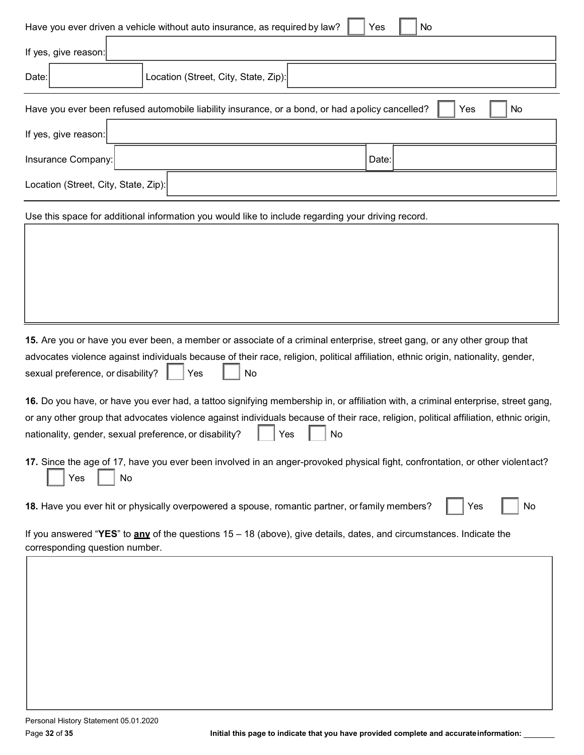| Have you ever driven a vehicle without auto insurance, as required by law?<br>No<br>Yes                                                                                                                                                                                                                                                            |  |  |  |
|----------------------------------------------------------------------------------------------------------------------------------------------------------------------------------------------------------------------------------------------------------------------------------------------------------------------------------------------------|--|--|--|
| If yes, give reason:                                                                                                                                                                                                                                                                                                                               |  |  |  |
| Location (Street, City, State, Zip):<br>Date:                                                                                                                                                                                                                                                                                                      |  |  |  |
| Have you ever been refused automobile liability insurance, or a bond, or had a policy cancelled?<br>Yes<br>No                                                                                                                                                                                                                                      |  |  |  |
| If yes, give reason:                                                                                                                                                                                                                                                                                                                               |  |  |  |
| Insurance Company:<br>Date:                                                                                                                                                                                                                                                                                                                        |  |  |  |
| Location (Street, City, State, Zip):                                                                                                                                                                                                                                                                                                               |  |  |  |
| Use this space for additional information you would like to include regarding your driving record.                                                                                                                                                                                                                                                 |  |  |  |
|                                                                                                                                                                                                                                                                                                                                                    |  |  |  |
|                                                                                                                                                                                                                                                                                                                                                    |  |  |  |
|                                                                                                                                                                                                                                                                                                                                                    |  |  |  |
|                                                                                                                                                                                                                                                                                                                                                    |  |  |  |
| 15. Are you or have you ever been, a member or associate of a criminal enterprise, street gang, or any other group that<br>advocates violence against individuals because of their race, religion, political affiliation, ethnic origin, nationality, gender,<br>sexual preference, or disability?<br>No<br>Yes                                    |  |  |  |
| 16. Do you have, or have you ever had, a tattoo signifying membership in, or affiliation with, a criminal enterprise, street gang,<br>or any other group that advocates violence against individuals because of their race, religion, political affiliation, ethnic origin,<br>nationality, gender, sexual preference, or disability?<br>Yes<br>No |  |  |  |
| 17. Since the age of 17, have you ever been involved in an anger-provoked physical fight, confrontation, or other violentact?<br>No<br>Yes                                                                                                                                                                                                         |  |  |  |
| 18. Have you ever hit or physically overpowered a spouse, romantic partner, or family members?<br>No<br>Yes                                                                                                                                                                                                                                        |  |  |  |
| If you answered "YES" to $any$ of the questions $15 - 18$ (above), give details, dates, and circumstances. Indicate the<br>corresponding question number.                                                                                                                                                                                          |  |  |  |
|                                                                                                                                                                                                                                                                                                                                                    |  |  |  |
|                                                                                                                                                                                                                                                                                                                                                    |  |  |  |
|                                                                                                                                                                                                                                                                                                                                                    |  |  |  |
|                                                                                                                                                                                                                                                                                                                                                    |  |  |  |
|                                                                                                                                                                                                                                                                                                                                                    |  |  |  |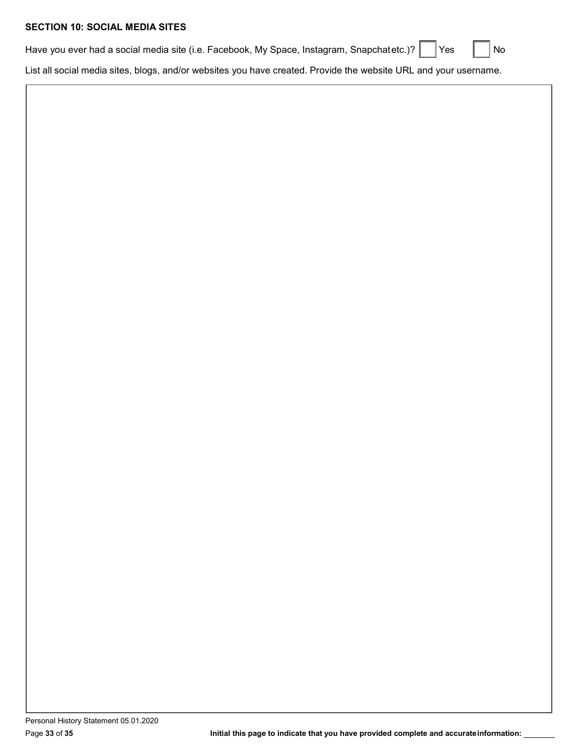# **SECTION 10: SOCIAL MEDIA SITES**

| Have you ever had a social media site (i.e. Facebook, My Space, Instagram, Snapchatetc.)? $\Box$ Yes $\Box$ No |  |  |
|----------------------------------------------------------------------------------------------------------------|--|--|
|                                                                                                                |  |  |

List all social media sites, blogs, and/or websites you have created. Provide the website URL and your username.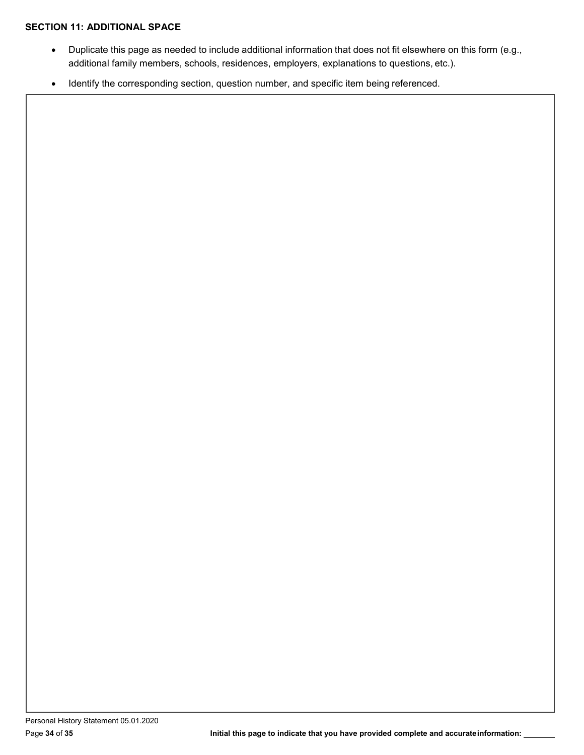### **SECTION 11: ADDITIONAL SPACE**

- Duplicate this page as needed to include additional information that does not fit elsewhere on this form (e.g., additional family members, schools, residences, employers, explanations to questions, etc.).
- Identify the corresponding section, question number, and specific item being referenced.